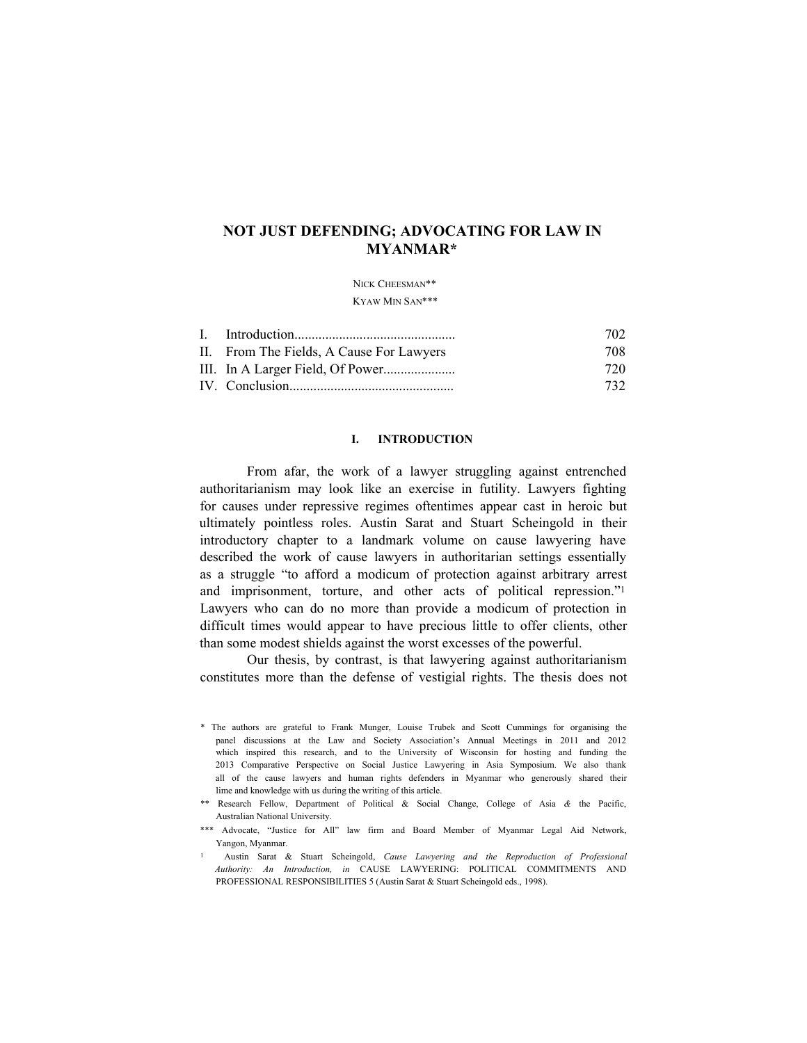# **NOT JUST DEFENDING; ADVOCATING FOR LAW IN MYANMAR\***

## NICK CHEESMAN\*\* Kyaw Min San\*\*\*

|                                          | 702. |
|------------------------------------------|------|
| II. From The Fields, A Cause For Lawyers | 708. |
|                                          | 720- |
|                                          | 732. |

### **I. INTRODUCTION**

From afar, the work of a lawyer struggling against entrenched authoritarianism may look like an exercise in futility. Lawyers fighting for causes under repressive regimes oftentimes appear cast in heroic but ultimately pointless roles. Austin Sarat and Stuart Scheingold in their introductory chapter to a landmark volume on cause lawyering have described the work of cause lawyers in authoritarian settings essentially as a struggle "to afford a modicum of protection against arbitrary arrest and imprisonment, torture, and other acts of political repression."<sup>1</sup> Lawyers who can do no more than provide a modicum of protection in difficult times would appear to have precious little to offer clients, other than some modest shields against the worst excesses of the powerful.

Our thesis, by contrast, is that lawyering against authoritarianism constitutes more than the defense of vestigial rights. The thesis does not

<sup>\*</sup> The authors are grateful to Frank Munger, Louise Trubek and Scott Cummings for organising the panel discussions at the Law and Society Association's Annual Meetings in 2011 and 2012 which inspired this research, and to the University of Wisconsin for hosting and funding the 2013 Comparative Perspective on Social Justice Lawyering in Asia Symposium. We also thank all of the cause lawyers and human rights defenders in Myanmar who generously shared their lime and knowledge with us during the writing of this article.

<sup>\*\*</sup> Research Fellow, Department of Political & Social Change, College of Asia *&* the Pacific, Australian National University.

<sup>\*\*\*</sup> Advocate, "Justice for All" law firm and Board Member of Myanmar Legal Aid Network, Yangon, Myanmar.

<sup>1</sup> Austin Sarat & Stuart Scheingold, *Cause Lawyering and the Reproduction of Professional Authority: An Introduction, in* CAUSE LAWYERING: POLITICAL COMMITMENTS AND PROFESSIONAL RESPONSIBILITIES 5 (Austin Sarat & Stuart Scheingold eds., 1998).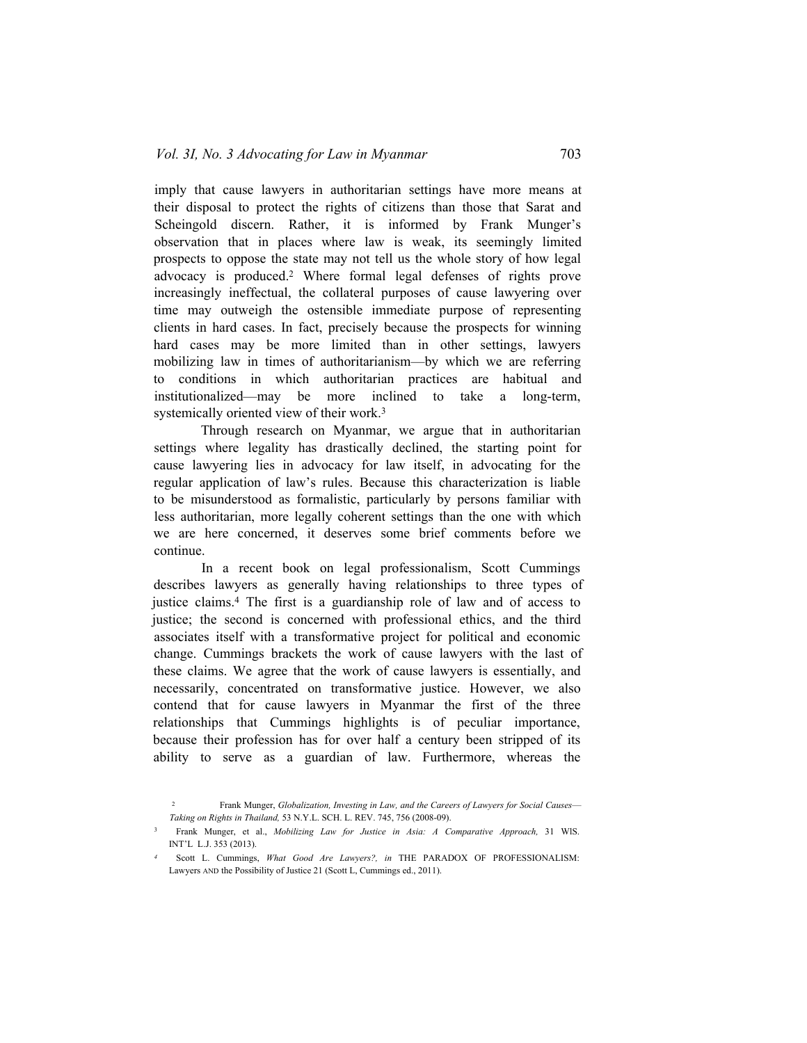imply that cause lawyers in authoritarian settings have more means at their disposal to protect the rights of citizens than those that Sarat and Scheingold discern. Rather, it is informed by Frank Munger's observation that in places where law is weak, its seemingly limited prospects to oppose the state may not tell us the whole story of how legal advocacy is produced.2 Where formal legal defenses of rights prove increasingly ineffectual, the collateral purposes of cause lawyering over time may outweigh the ostensible immediate purpose of representing clients in hard cases. In fact, precisely because the prospects for winning hard cases may be more limited than in other settings, lawyers mobilizing law in times of authoritarianism—by which we are referring to conditions in which authoritarian practices are habitual and institutionalized—may be more inclined to take a long-term, systemically oriented view of their work.<sup>3</sup>

Through research on Myanmar, we argue that in authoritarian settings where legality has drastically declined, the starting point for cause lawyering lies in advocacy for law itself, in advocating for the regular application of law's rules. Because this characterization is liable to be misunderstood as formalistic, particularly by persons familiar with less authoritarian, more legally coherent settings than the one with which we are here concerned, it deserves some brief comments before we continue.

In a recent book on legal professionalism, Scott Cummings describes lawyers as generally having relationships to three types of justice claims.4 The first is a guardianship role of law and of access to justice; the second is concerned with professional ethics, and the third associates itself with a transformative project for political and economic change. Cummings brackets the work of cause lawyers with the last of these claims. We agree that the work of cause lawyers is essentially, and necessarily, concentrated on transformative justice. However, we also contend that for cause lawyers in Myanmar the first of the three relationships that Cummings highlights is of peculiar importance, because their profession has for over half a century been stripped of its ability to serve as a guardian of law. Furthermore, whereas the

<sup>2</sup> Frank Munger, *Globalization, Investing in Law, and the Careers of Lawyers for Social Causes*— *Taking on Rights in Thailand,* 53 N.Y.L. SCH. L. REV. 745, 756 (2008-09).

<sup>3</sup> Frank Munger, et al., *Mobilizing Law for Justice in Asia: A Comparative Approach,* 31 WlS. INT'L L.J. 353 (2013).

Scott L. Cummings, *What Good Are Lawyers?, in* THE PARADOX OF PROFESSIONALISM: Lawyers AND the Possibility of Justice 21 (Scott L, Cummings ed., 2011).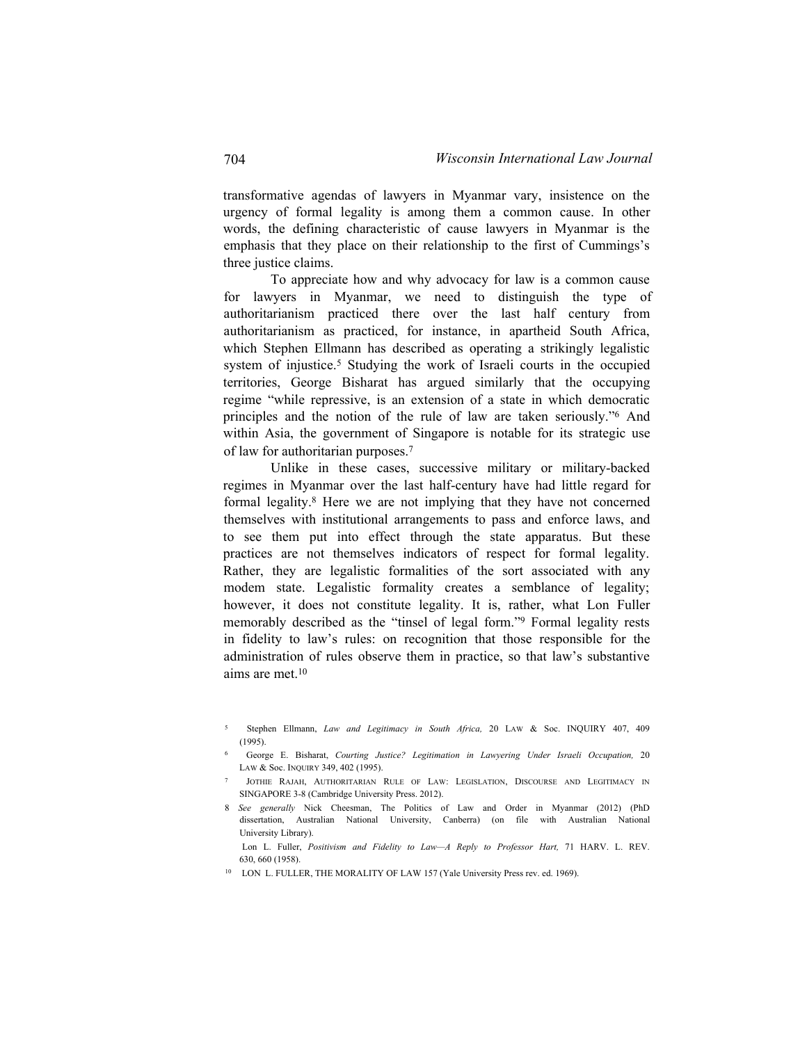transformative agendas of lawyers in Myanmar vary, insistence on the urgency of formal legality is among them a common cause. In other words, the defining characteristic of cause lawyers in Myanmar is the emphasis that they place on their relationship to the first of Cummings's three justice claims.

To appreciate how and why advocacy for law is a common cause for lawyers in Myanmar, we need to distinguish the type of authoritarianism practiced there over the last half century from authoritarianism as practiced, for instance, in apartheid South Africa, which Stephen Ellmann has described as operating a strikingly legalistic system of injustice.<sup>5</sup> Studying the work of Israeli courts in the occupied territories, George Bisharat has argued similarly that the occupying regime "while repressive, is an extension of a state in which democratic principles and the notion of the rule of law are taken seriously."<sup>6</sup> And within Asia, the government of Singapore is notable for its strategic use of law for authoritarian purposes.<sup>7</sup>

Unlike in these cases, successive military or military-backed regimes in Myanmar over the last half-century have had little regard for formal legality.8 Here we are not implying that they have not concerned themselves with institutional arrangements to pass and enforce laws, and to see them put into effect through the state apparatus. But these practices are not themselves indicators of respect for formal legality. Rather, they are legalistic formalities of the sort associated with any modem state. Legalistic formality creates a semblance of legality; however, it does not constitute legality. It is, rather, what Lon Fuller memorably described as the "tinsel of legal form."9 Formal legality rests in fidelity to law's rules: on recognition that those responsible for the administration of rules observe them in practice, so that law's substantive aims are met.<sup>10</sup>

<sup>5</sup> Stephen Ellmann, *Law and Legitimacy in South Africa,* 20 Law & Soc. INQUIRY 407, 409 (1995).

<sup>6</sup> George E. Bisharat, *Courting Justice? Legitimation in Lawyering Under Israeli Occupation,* 20 Law & Soc. Inquiry 349, 402 (1995).

<sup>7</sup> Jothie Rajah, Authoritarian Rule of Law: Legislation, Discourse and Legitimacy in SINGAPORE 3-8 (Cambridge University Press. 2012).

<sup>8</sup> *See generally* Nick Cheesman, The Politics of Law and Order in Myanmar (2012) (PhD dissertation, Australian National University, Canberra) (on file with Australian National University Library).

Lon L. Fuller, *Positivism and Fidelity to Law—A Reply to Professor Hart,* 71 HARV. L. REV. 630, 660 (1958).

<sup>10</sup> LON L. FULLER, THE MORALITY OF LAW 157 (Yale University Press rev. ed. 1969).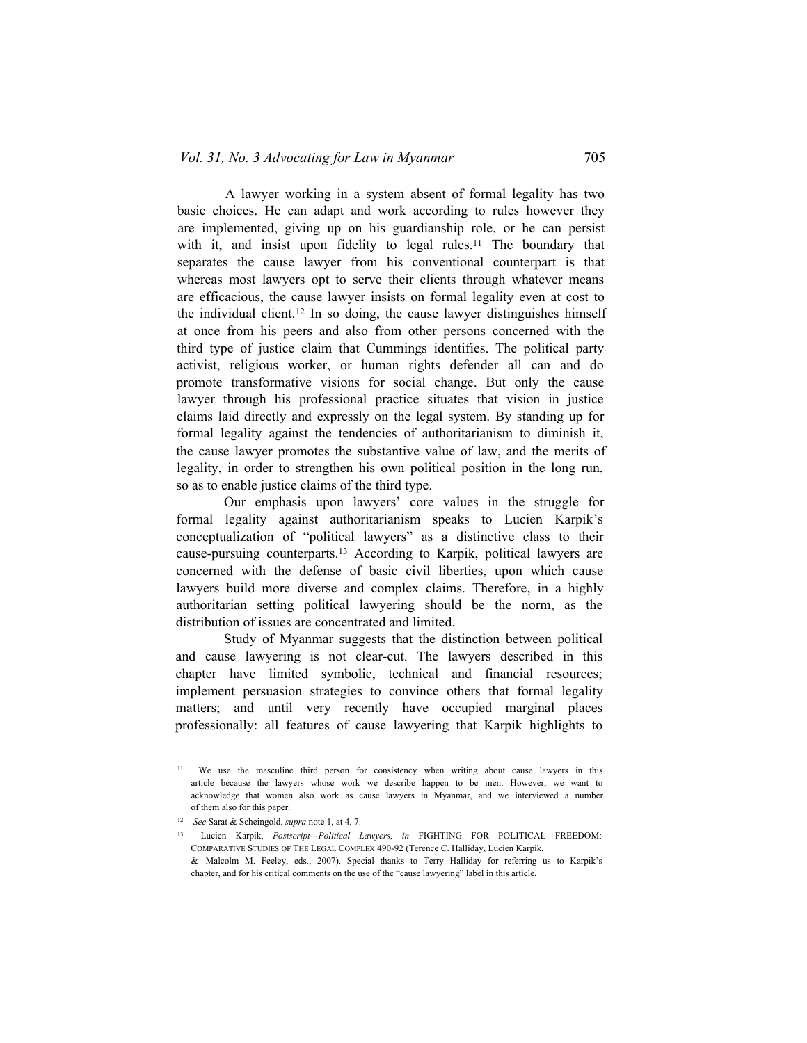A lawyer working in a system absent of formal legality has two basic choices. He can adapt and work according to rules however they are implemented, giving up on his guardianship role, or he can persist with it, and insist upon fidelity to legal rules.<sup>11</sup> The boundary that separates the cause lawyer from his conventional counterpart is that whereas most lawyers opt to serve their clients through whatever means are efficacious, the cause lawyer insists on formal legality even at cost to the individual client.<sup>12</sup> In so doing, the cause lawyer distinguishes himself at once from his peers and also from other persons concerned with the third type of justice claim that Cummings identifies. The political party activist, religious worker, or human rights defender all can and do promote transformative visions for social change. But only the cause lawyer through his professional practice situates that vision in justice claims laid directly and expressly on the legal system. By standing up for formal legality against the tendencies of authoritarianism to diminish it, the cause lawyer promotes the substantive value of law, and the merits of legality, in order to strengthen his own political position in the long run, so as to enable justice claims of the third type.

Our emphasis upon lawyers' core values in the struggle for formal legality against authoritarianism speaks to Lucien Karpik's conceptualization of "political lawyers" as a distinctive class to their cause-pursuing counterparts.<sup>13</sup> According to Karpik, political lawyers are concerned with the defense of basic civil liberties, upon which cause lawyers build more diverse and complex claims. Therefore, in a highly authoritarian setting political lawyering should be the norm, as the distribution of issues are concentrated and limited.

Study of Myanmar suggests that the distinction between political and cause lawyering is not clear-cut. The lawyers described in this chapter have limited symbolic, technical and financial resources; implement persuasion strategies to convince others that formal legality matters; and until very recently have occupied marginal places professionally: all features of cause lawyering that Karpik highlights to

<sup>11</sup> We use the masculine third person for consistency when writing about cause lawyers in this article because the lawyers whose work we describe happen to be men. However, we want to acknowledge that women also work as cause lawyers in Myanmar, and we interviewed a number of them also for this paper.

<sup>12</sup> *See* Sarat & Scheingold, *supra* note 1, at 4, 7.

<sup>13</sup> Lucien Karpik, *Postscript—Political Lawyers, in* FIGHTING FOR POLITICAL FREEDOM: Comparative Studies of The Legal Complex 490-92 (Terence C. Halliday, Lucien Karpik, & Malcolm M. Feeley, eds., 2007). Special thanks to Terry Halliday for referring us to Karpik's chapter, and for his critical comments on the use of the "cause lawyering" label in this article.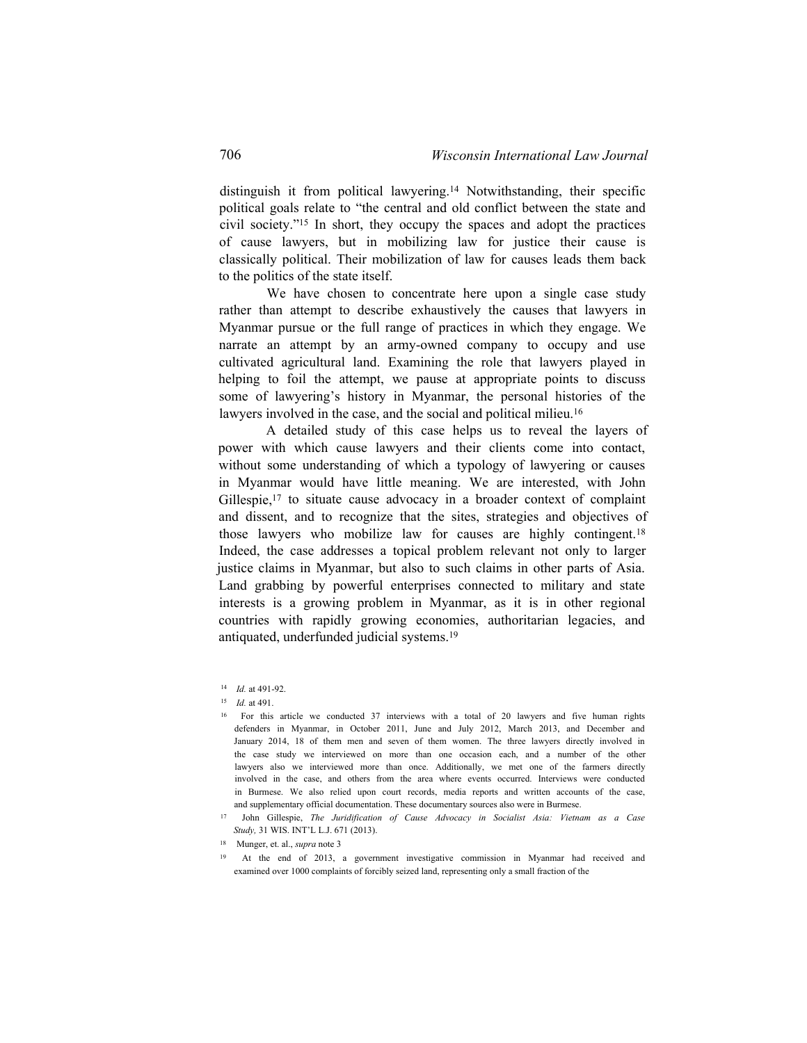distinguish it from political lawyering.14 Notwithstanding, their specific political goals relate to "the central and old conflict between the state and civil society."<sup>15</sup> In short, they occupy the spaces and adopt the practices of cause lawyers, but in mobilizing law for justice their cause is classically political. Their mobilization of law for causes leads them back to the politics of the state itself.

We have chosen to concentrate here upon a single case study rather than attempt to describe exhaustively the causes that lawyers in Myanmar pursue or the full range of practices in which they engage. We narrate an attempt by an army-owned company to occupy and use cultivated agricultural land. Examining the role that lawyers played in helping to foil the attempt, we pause at appropriate points to discuss some of lawyering's history in Myanmar, the personal histories of the lawyers involved in the case, and the social and political milieu.<sup>16</sup>

A detailed study of this case helps us to reveal the layers of power with which cause lawyers and their clients come into contact, without some understanding of which a typology of lawyering or causes in Myanmar would have little meaning. We are interested, with John Gillespie,<sup>17</sup> to situate cause advocacy in a broader context of complaint and dissent, and to recognize that the sites, strategies and objectives of those lawyers who mobilize law for causes are highly contingent.<sup>18</sup> Indeed, the case addresses a topical problem relevant not only to larger justice claims in Myanmar, but also to such claims in other parts of Asia. Land grabbing by powerful enterprises connected to military and state interests is a growing problem in Myanmar, as it is in other regional countries with rapidly growing economies, authoritarian legacies, and antiquated, underfunded judicial systems.<sup>19</sup>

<sup>14</sup> *Id.* at 491-92.

<sup>15</sup> *Id.* at 491.

<sup>16</sup> For this article we conducted 37 interviews with a total of 20 lawyers and five human rights defenders in Myanmar, in October 2011, June and July 2012, March 2013, and December and January 2014, 18 of them men and seven of them women. The three lawyers directly involved in the case study we interviewed on more than one occasion each, and a number of the other lawyers also we interviewed more than once. Additionally, we met one of the farmers directly involved in the case, and others from the area where events occurred. Interviews were conducted in Burmese. We also relied upon court records, media reports and written accounts of the case, and supplementary official documentation. These documentary sources also were in Burmese.

<sup>17</sup> John Gillespie, *The Juridification of Cause Advocacy in Socialist Asia: Vietnam as a Case Study,* 31 WIS. INT'L L.J. 671 (2013).

<sup>18</sup> Munger, et. al., *supra* note 3

<sup>19</sup> At the end of 2013, a government investigative commission in Myanmar had received and examined over 1000 complaints of forcibly seized land, representing only a small fraction of the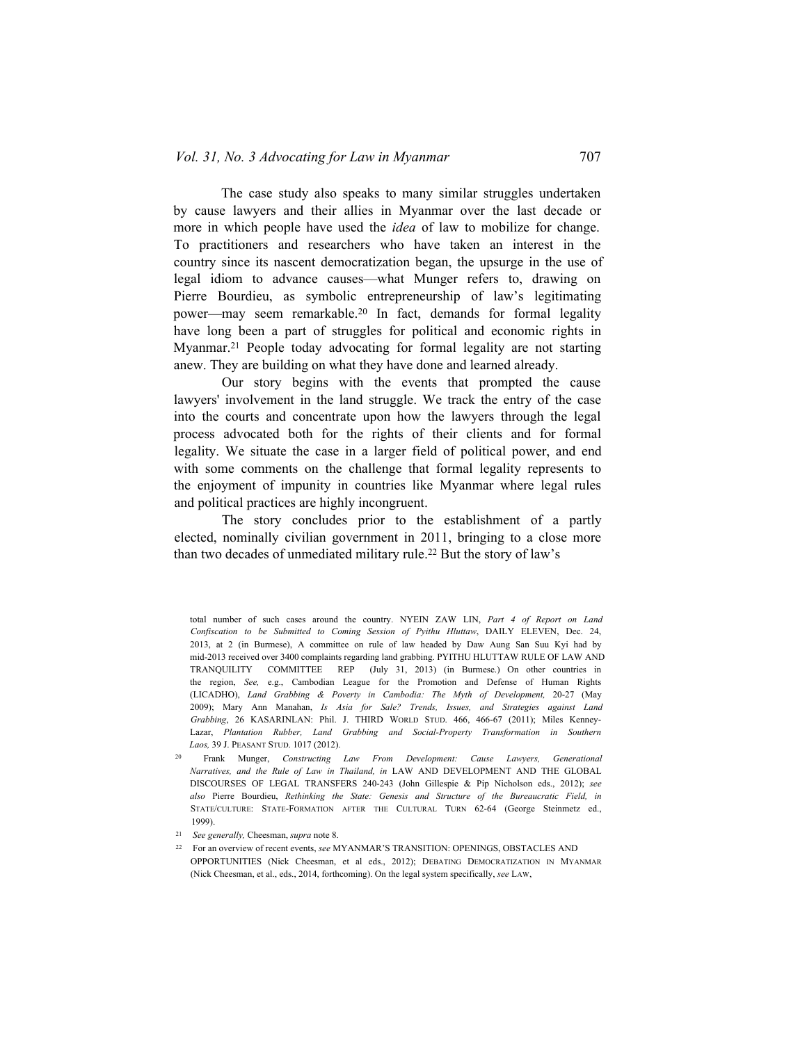The case study also speaks to many similar struggles undertaken by cause lawyers and their allies in Myanmar over the last decade or more in which people have used the *idea* of law to mobilize for change. To practitioners and researchers who have taken an interest in the country since its nascent democratization began, the upsurge in the use of legal idiom to advance causes—what Munger refers to, drawing on Pierre Bourdieu, as symbolic entrepreneurship of law's legitimating power—may seem remarkable.<sup>20</sup> In fact, demands for formal legality have long been a part of struggles for political and economic rights in Myanmar.<sup>21</sup> People today advocating for formal legality are not starting anew. They are building on what they have done and learned already.

Our story begins with the events that prompted the cause lawyers' involvement in the land struggle. We track the entry of the case into the courts and concentrate upon how the lawyers through the legal process advocated both for the rights of their clients and for formal legality. We situate the case in a larger field of political power, and end with some comments on the challenge that formal legality represents to the enjoyment of impunity in countries like Myanmar where legal rules and political practices are highly incongruent.

The story concludes prior to the establishment of a partly elected, nominally civilian government in 2011, bringing to a close more than two decades of unmediated military rule.22 But the story of law's

total number of such cases around the country. NYEIN ZAW LIN, *Part 4 of Report on Land Confiscation to be Submitted to Coming Session of Pyithu Hluttaw*, DAILY ELEVEN, Dec. 24, 2013, at 2 (in Burmese), A committee on rule of law headed by Daw Aung San Suu Kyi had by mid-2013 received over 3400 complaints regarding land grabbing. PYITHU HLUTTAW RULE OF LAW AND TRANQUILITY COMMITTEE REP (July 31, 2013) (in Burmese.) On other countries in the region, *See,* e.g., Cambodian League for the Promotion and Defense of Human Rights (LICADHO), *Land Grabbing & Poverty in Cambodia: The Myth of Development,* 20-27 (May 2009); Mary Ann Manahan, *Is Asia for Sale? Trends, Issues, and Strategies against Land* Grabbing, 26 KASARINLAN: Phil. J. THIRD WORLD STUD. 466, 466-67 (2011); Miles Kenney-Lazar, *Plantation Rubber, Land Grabbing and Social-Property Transformation in Southern Laos,* 39 J. Peasant Stud. 1017 (2012).

<sup>20</sup> Frank Munger, *Constructing Law From Development: Cause Lawyers, Generational Narratives, and the Rule of Law in Thailand, in* LAW AND DEVELOPMENT AND THE GLOBAL DISCOURSES OF LEGAL TRANSFERS 240-243 (John Gillespie & Pip Nicholson eds., 2012); *see also* Pierre Bourdieu, *Rethinking the State: Genesis and Structure of the Bureaucratic Field, in* State/culture: State-Formation after the Cultural Turn 62-64 (George Steinmetz ed., 1999).

<sup>21</sup> *See generally,* Cheesman, *supra* note 8.

<sup>22</sup> For an overview of recent events, *see* MYANMAR'S TRANSITION: OPENINGS, OBSTACLES AND OPPORTUNITIES (Nick Cheesman, et al eds., 2012); Debating Democratization in Myanmar (Nick Cheesman, et al., eds., 2014, forthcoming). On the legal system specifically, *see* Law,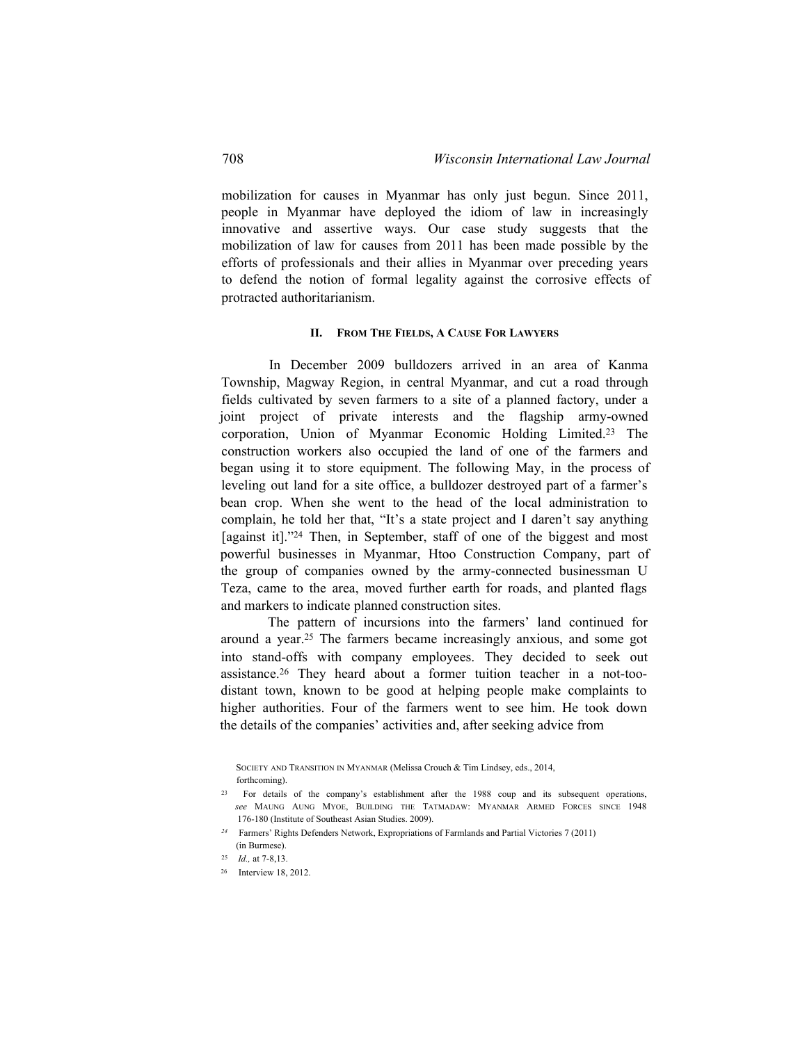mobilization for causes in Myanmar has only just begun. Since 2011, people in Myanmar have deployed the idiom of law in increasingly innovative and assertive ways. Our case study suggests that the mobilization of law for causes from 2011 has been made possible by the efforts of professionals and their allies in Myanmar over preceding years to defend the notion of formal legality against the corrosive effects of protracted authoritarianism.

### **II. From The Fields, A Cause For Lawyers**

In December 2009 bulldozers arrived in an area of Kanma Township, Magway Region, in central Myanmar, and cut a road through fields cultivated by seven farmers to a site of a planned factory, under a joint project of private interests and the flagship army-owned corporation, Union of Myanmar Economic Holding Limited.23 The construction workers also occupied the land of one of the farmers and began using it to store equipment. The following May, in the process of leveling out land for a site office, a bulldozer destroyed part of a farmer's bean crop. When she went to the head of the local administration to complain, he told her that, "It's a state project and I daren't say anything [against it]."<sup>24</sup> Then, in September, staff of one of the biggest and most powerful businesses in Myanmar, Htoo Construction Company, part of the group of companies owned by the army-connected businessman U Teza, came to the area, moved further earth for roads, and planted flags and markers to indicate planned construction sites.

The pattern of incursions into the farmers' land continued for around a year.25 The farmers became increasingly anxious, and some got into stand-offs with company employees. They decided to seek out assistance.26 They heard about a former tuition teacher in a not-toodistant town, known to be good at helping people make complaints to higher authorities. Four of the farmers went to see him. He took down the details of the companies' activities and, after seeking advice from

Society and Transition in Myanmar (Melissa Crouch & Tim Lindsey, eds., 2014, forthcoming).

<sup>23</sup> For details of the company's establishment after the 1988 coup and its subsequent operations, *see* Maung Aung Myoe, Building the Tatmadaw: Myanmar Armed Forces since 1948 176-180 (Institute of Southeast Asian Studies. 2009).

*<sup>24</sup>* Farmers' Rights Defenders Network, Expropriations of Farmlands and Partial Victories 7 (2011) (in Burmese).

<sup>25</sup> *Id.,* at 7-8,13.

<sup>26</sup> Interview 18, 2012.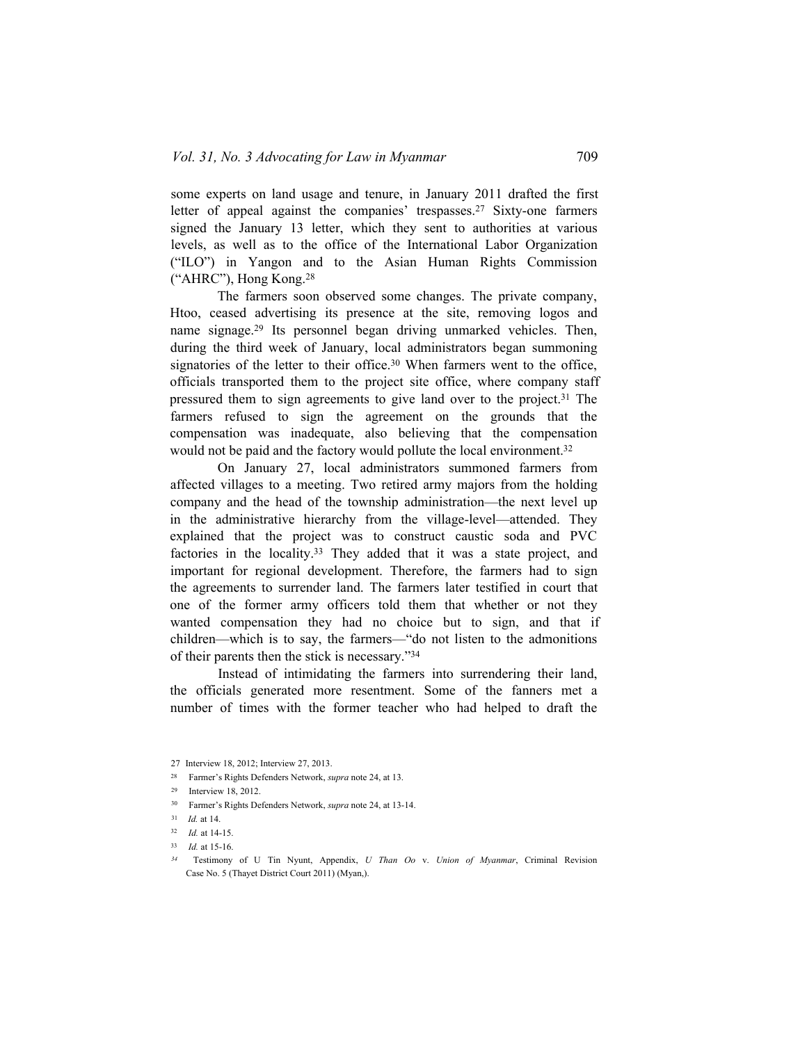some experts on land usage and tenure, in January 2011 drafted the first letter of appeal against the companies' trespasses.<sup>27</sup> Sixty-one farmers signed the January 13 letter, which they sent to authorities at various levels, as well as to the office of the International Labor Organization ("ILO") in Yangon and to the Asian Human Rights Commission ("AHRC"), Hong Kong.<sup>28</sup>

The farmers soon observed some changes. The private company, Htoo, ceased advertising its presence at the site, removing logos and name signage.<sup>29</sup> Its personnel began driving unmarked vehicles. Then, during the third week of January, local administrators began summoning signatories of the letter to their office.<sup>30</sup> When farmers went to the office, officials transported them to the project site office, where company staff pressured them to sign agreements to give land over to the project.<sup>31</sup> The farmers refused to sign the agreement on the grounds that the compensation was inadequate, also believing that the compensation would not be paid and the factory would pollute the local environment.<sup>32</sup>

On January 27, local administrators summoned farmers from affected villages to a meeting. Two retired army majors from the holding company and the head of the township administration—the next level up in the administrative hierarchy from the village-level—attended. They explained that the project was to construct caustic soda and PVC factories in the locality.<sup>33</sup> They added that it was a state project, and important for regional development. Therefore, the farmers had to sign the agreements to surrender land. The farmers later testified in court that one of the former army officers told them that whether or not they wanted compensation they had no choice but to sign, and that if children—which is to say, the farmers—"do not listen to the admonitions of their parents then the stick is necessary."<sup>34</sup>

Instead of intimidating the farmers into surrendering their land, the officials generated more resentment. Some of the fanners met a number of times with the former teacher who had helped to draft the

<sup>27</sup> Interview 18, 2012; Interview 27, 2013.

<sup>28</sup> Farmer's Rights Defenders Network, *supra* note 24, at 13.

<sup>29</sup> Interview 18, 2012.

<sup>30</sup> Farmer's Rights Defenders Network, *supra* note 24, at 13-14.

<sup>31</sup> *Id.* at 14.

<sup>32</sup> *Id.* at 14-15.

<sup>33</sup> *Id.* at 15-16.

*<sup>34</sup>* Testimony of U Tin Nyunt, Appendix, *U Than Oo* v. *Union of Myanmar*, Criminal Revision Case No. 5 (Thayet District Court 2011) (Myan,).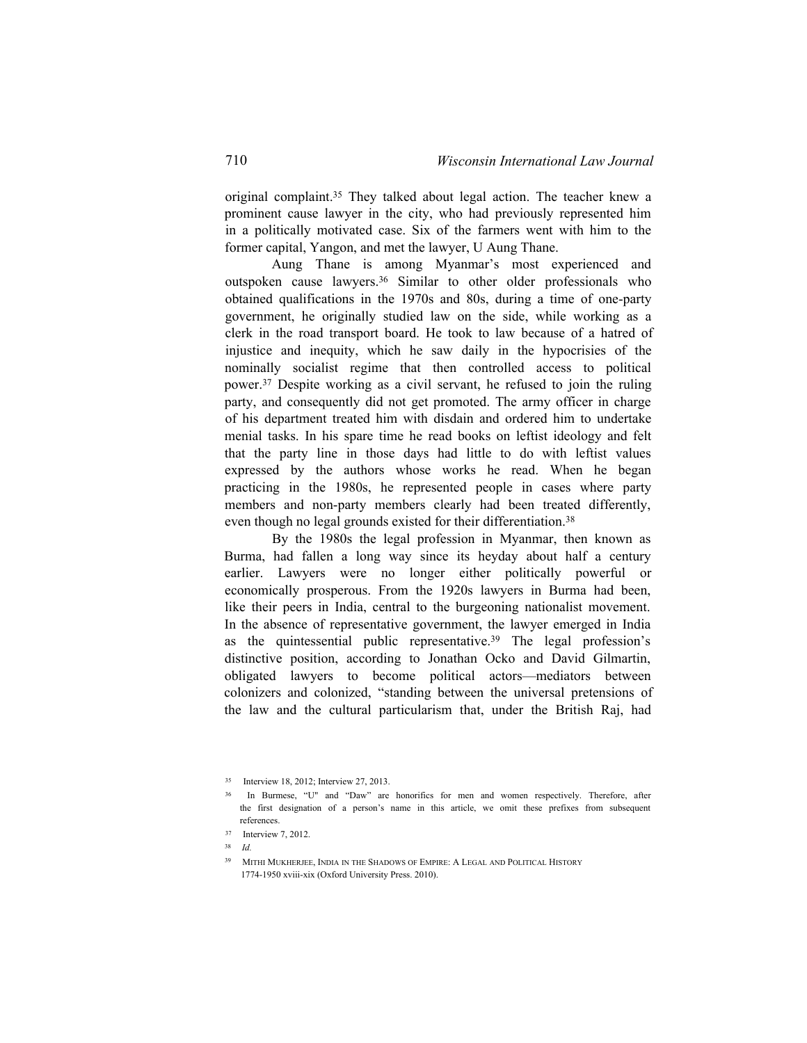original complaint.<sup>35</sup> They talked about legal action. The teacher knew a prominent cause lawyer in the city, who had previously represented him in a politically motivated case. Six of the farmers went with him to the former capital, Yangon, and met the lawyer, U Aung Thane.

Aung Thane is among Myanmar's most experienced and outspoken cause lawyers.36 Similar to other older professionals who obtained qualifications in the 1970s and 80s, during a time of one-party government, he originally studied law on the side, while working as a clerk in the road transport board. He took to law because of a hatred of injustice and inequity, which he saw daily in the hypocrisies of the nominally socialist regime that then controlled access to political power.37 Despite working as a civil servant, he refused to join the ruling party, and consequently did not get promoted. The army officer in charge of his department treated him with disdain and ordered him to undertake menial tasks. In his spare time he read books on leftist ideology and felt that the party line in those days had little to do with leftist values expressed by the authors whose works he read. When he began practicing in the 1980s, he represented people in cases where party members and non-party members clearly had been treated differently, even though no legal grounds existed for their differentiation.<sup>38</sup>

By the 1980s the legal profession in Myanmar, then known as Burma, had fallen a long way since its heyday about half a century earlier. Lawyers were no longer either politically powerful or economically prosperous. From the 1920s lawyers in Burma had been, like their peers in India, central to the burgeoning nationalist movement. In the absence of representative government, the lawyer emerged in India as the quintessential public representative.<sup>39</sup> The legal profession's distinctive position, according to Jonathan Ocko and David Gilmartin, obligated lawyers to become political actors—mediators between colonizers and colonized, "standing between the universal pretensions of the law and the cultural particularism that, under the British Raj, had

<sup>35</sup> Interview 18, 2012; Interview 27, 2013.

<sup>36</sup> In Burmese, "U" and "Daw" are honorifics for men and women respectively. Therefore, after the first designation of a person's name in this article, we omit these prefixes from subsequent references.

<sup>37</sup> Interview 7, 2012.

<sup>38</sup> *Id.*

<sup>39</sup> Mithi Mukherjee, India in the Shadows of Empire: A Legal and Political History 1774-1950 xviii-xix (Oxford University Press. 2010).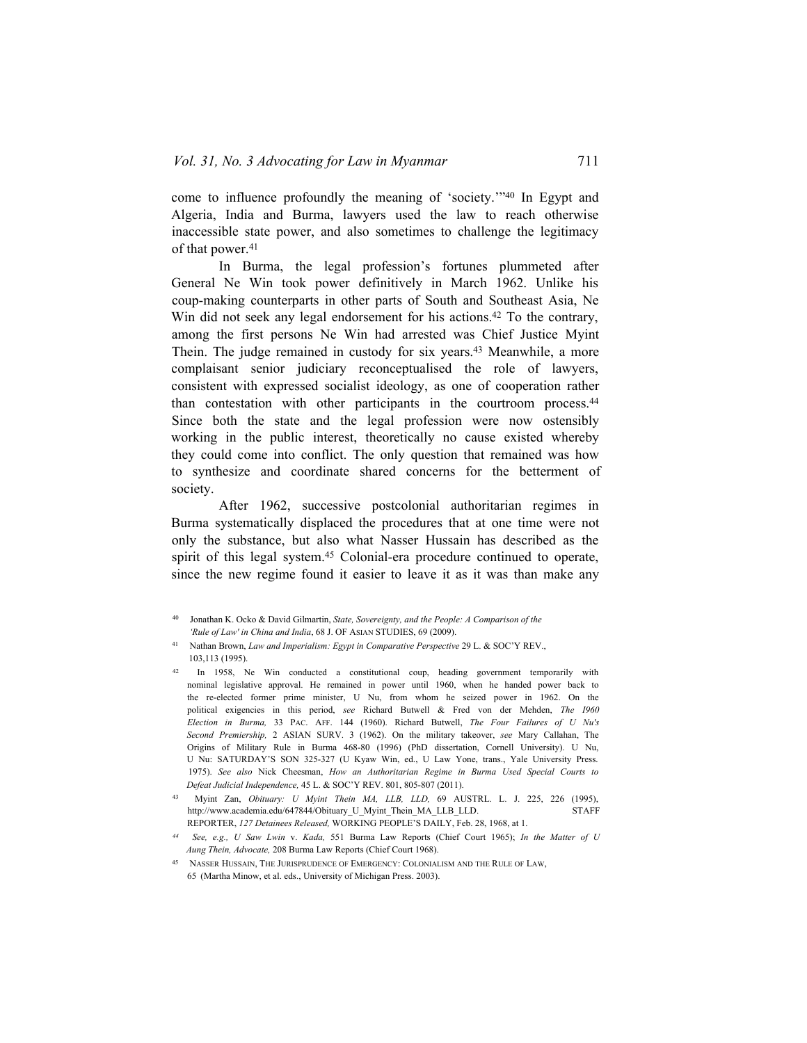come to influence profoundly the meaning of 'society.'"40 In Egypt and Algeria, India and Burma, lawyers used the law to reach otherwise inaccessible state power, and also sometimes to challenge the legitimacy of that power.<sup>41</sup>

In Burma, the legal profession's fortunes plummeted after General Ne Win took power definitively in March 1962. Unlike his coup-making counterparts in other parts of South and Southeast Asia, Ne Win did not seek any legal endorsement for his actions.<sup>42</sup> To the contrary, among the first persons Ne Win had arrested was Chief Justice Myint Thein. The judge remained in custody for six years.43 Meanwhile, a more complaisant senior judiciary reconceptualised the role of lawyers, consistent with expressed socialist ideology, as one of cooperation rather than contestation with other participants in the courtroom process.<sup>44</sup> Since both the state and the legal profession were now ostensibly working in the public interest, theoretically no cause existed whereby they could come into conflict. The only question that remained was how to synthesize and coordinate shared concerns for the betterment of society.

After 1962, successive postcolonial authoritarian regimes in Burma systematically displaced the procedures that at one time were not only the substance, but also what Nasser Hussain has described as the spirit of this legal system.<sup>45</sup> Colonial-era procedure continued to operate, since the new regime found it easier to leave it as it was than make any

<sup>40</sup> Jonathan K. Ocko & David Gilmartin, *State, Sovereignty, and the People: A Comparison of the 'Rule of Law' in China and India*, 68 J. OF Asian STUDIES, 69 (2009).

<sup>41</sup> Nathan Brown, *Law and Imperialism: Egypt in Comparative Perspective* 29 L. & SOC'Y REV., 103,113 (1995).

<sup>42</sup> In 1958, Ne Win conducted a constitutional coup, heading government temporarily with nominal legislative approval. He remained in power until 1960, when he handed power back to the re-elected former prime minister, U Nu, from whom he seized power in 1962. On the political exigencies in this period, *see* Richard Butwell & Fred von der Mehden, *The I960 Election in Burma,* 33 Pac. Aff. 144 (1960). Richard Butwell, *The Four Failures of U Nu's Second Premiership,* 2 ASIAN SURV. 3 (1962). On the military takeover, *see* Mary Callahan, The Origins of Military Rule in Burma 468-80 (1996) (PhD dissertation, Cornell University). U Nu, U Nu: SATURDAY'S SON 325-327 (U Kyaw Win, ed., U Law Yone, trans., Yale University Press. 1975). *See also* Nick Cheesman, *How an Authoritarian Regime in Burma Used Special Courts to Defeat Judicial Independence,* 45 L. & SOC'Y REV. 801, 805-807 (2011).

<sup>43</sup> Myint Zan, *Obituary: U Myint Thein MA, LLB, LLD,* 69 AUSTRL. L. J. 225, 226 (1995), [http://www.academia.edu/647844/Obituary\\_U\\_Myint\\_Thein\\_MA\\_LLB\\_LLD.](http://www.academia.edu/647844/Obituary_U_Myint_Thein_MA_LLB_LLD) STAFF REPORTER, *127 Detainees Released,* WORKING PEOPLE'S DAILY, Feb. 28, 1968, at 1.

*<sup>44</sup> See, e.g., U Saw Lwin* v. *Kada,* 551 Burma Law Reports (Chief Court 1965); *In the Matter of U Aung Thein, Advocate,* 208 Burma Law Reports (Chief Court 1968).

<sup>&</sup>lt;sup>45</sup> NASSER HUSSAIN, THE JURISPRUDENCE OF EMERGENCY: COLONIALISM AND THE RULE OF LAW, 65 (Martha Minow, et al. eds., University of Michigan Press. 2003).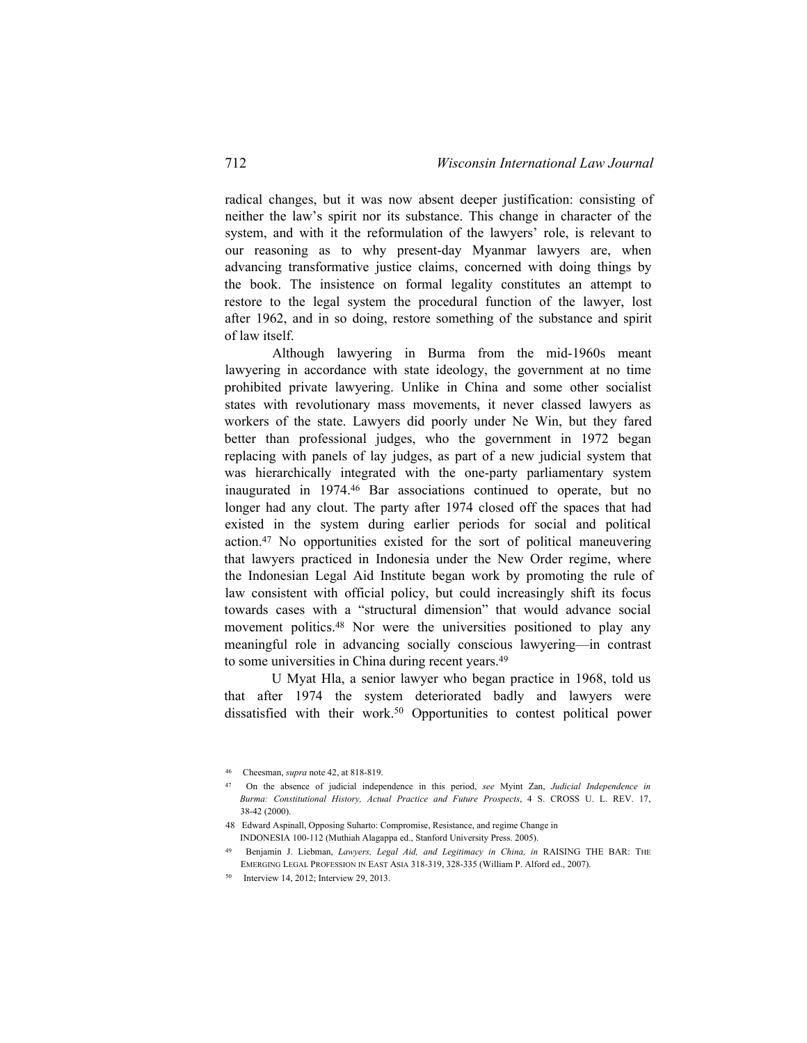radical changes, but it was now absent deeper justification: consisting of neither the law's spirit nor its substance. This change in character of the system, and with it the reformulation of the lawyers' role, is relevant to our reasoning as to why present-day Myanmar lawyers are, when advancing transformative justice claims, concerned with doing things by the book. The insistence on formal legality constitutes an attempt to restore to the legal system the procedural function of the lawyer, lost after 1962, and in so doing, restore something of the substance and spirit of law itself.

Although lawyering in Burma from the mid-1960s meant lawyering in accordance with state ideology, the government at no time prohibited private lawyering. Unlike in China and some other socialist states with revolutionary mass movements, it never classed lawyers as workers of the state. Lawyers did poorly under Ne Win, but they fared better than professional judges, who the government in 1972 began replacing with panels of lay judges, as part of a new judicial system that was hierarchically integrated with the one-party parliamentary system inaugurated in 1974.<sup>46</sup> Bar associations continued to operate, but no longer had any clout. The party after 1974 closed off the spaces that had existed in the system during earlier periods for social and political action.47 No opportunities existed for the sort of political maneuvering that lawyers practiced in Indonesia under the New Order regime, where the Indonesian Legal Aid Institute began work by promoting the rule of law consistent with official policy, but could increasingly shift its focus towards cases with a "structural dimension" that would advance social movement politics.<sup>48</sup> Nor were the universities positioned to play any meaningful role in advancing socially conscious lawyering—in contrast to some universities in China during recent years.<sup>49</sup>

U Myat Hla, a senior lawyer who began practice in 1968, told us that after 1974 the system deteriorated badly and lawyers were dissatisfied with their work.<sup>50</sup> Opportunities to contest political power

<sup>46</sup> Cheesman, *supra* note 42, at 818-819.

<sup>47</sup> On the absence of judicial independence in this period, *see* Myint Zan, *Judicial Independence in Burma: Constitutional History, Actual Practice and Future Prospects*, 4 S. CROSS U. L. REV. 17, 38-42 (2000).

<sup>48</sup> Edward Aspinall, Opposing Suharto: Compromise, Resistance, and regime Change in INDONESIA 100-112 (Muthiah Alagappa ed., Stanford University Press. 2005).

<sup>49</sup> Benjamin J. Liebman, *Lawyers, Legal Aid, and Legitimacy in China, in* RAISING THE BAR: The Emerging Legal Profession in East Asia 318-319, 328-335 (William P. Alford ed., 2007).

<sup>50</sup> Interview 14, 2012; Interview 29, 2013.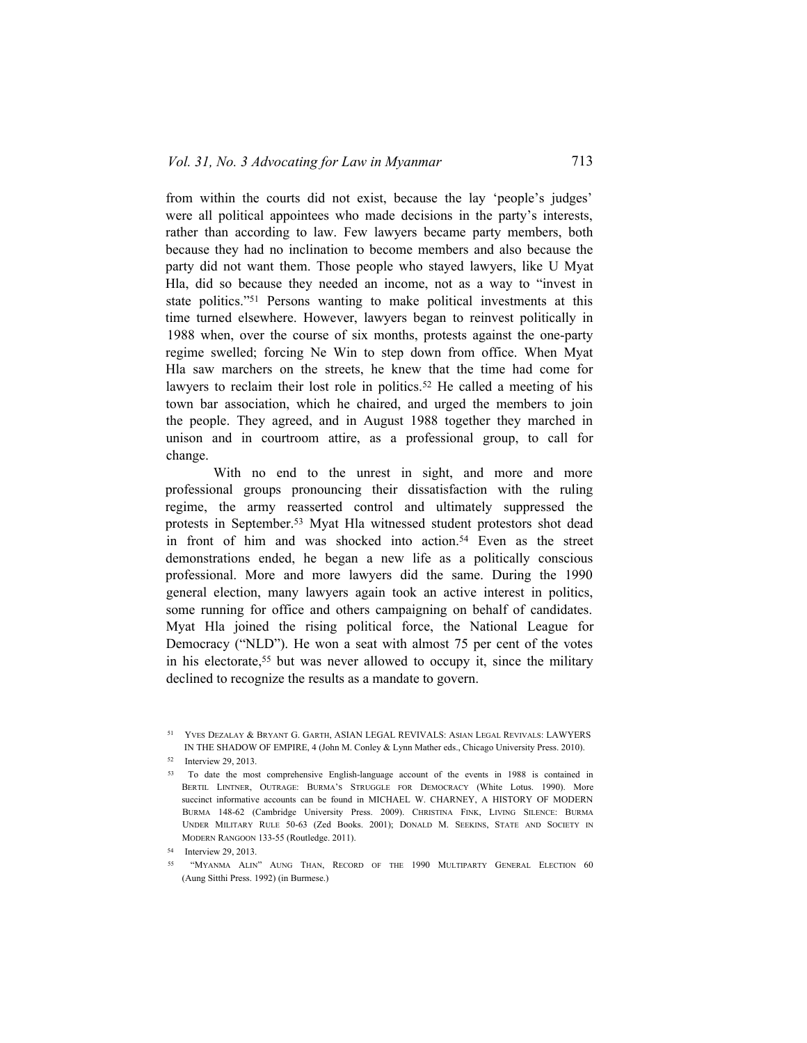from within the courts did not exist, because the lay 'people's judges' were all political appointees who made decisions in the party's interests, rather than according to law. Few lawyers became party members, both because they had no inclination to become members and also because the party did not want them. Those people who stayed lawyers, like U Myat Hla, did so because they needed an income, not as a way to "invest in state politics."51 Persons wanting to make political investments at this time turned elsewhere. However, lawyers began to reinvest politically in 1988 when, over the course of six months, protests against the one-party regime swelled; forcing Ne Win to step down from office. When Myat Hla saw marchers on the streets, he knew that the time had come for lawyers to reclaim their lost role in politics.<sup>52</sup> He called a meeting of his town bar association, which he chaired, and urged the members to join the people. They agreed, and in August 1988 together they marched in unison and in courtroom attire, as a professional group, to call for change.

With no end to the unrest in sight, and more and more professional groups pronouncing their dissatisfaction with the ruling regime, the army reasserted control and ultimately suppressed the protests in September.53 Myat Hla witnessed student protestors shot dead in front of him and was shocked into action.<sup>54</sup> Even as the street demonstrations ended, he began a new life as a politically conscious professional. More and more lawyers did the same. During the 1990 general election, many lawyers again took an active interest in politics, some running for office and others campaigning on behalf of candidates. Myat Hla joined the rising political force, the National League for Democracy ("NLD"). He won a seat with almost 75 per cent of the votes in his electorate,<sup>55</sup> but was never allowed to occupy it, since the military declined to recognize the results as a mandate to govern.

<sup>51</sup> Yves Dezalay & Bryant G. Garth, ASIAN LEGAL REVIVALS: Asian Legal Revivals: LAWYERS IN THE SHADOW OF EMPIRE, 4 (John M. Conley & Lynn Mather eds., Chicago University Press. 2010).

<sup>52</sup> Interview 29, 2013.

<sup>53</sup> To date the most comprehensive English-language account of the events in 1988 is contained in Bertil Lintner, Outrage: Burma's Struggle for Democracy (White Lotus. 1990). More succinct informative accounts can be found in MICHAEL W. CHARNEY, A HISTORY OF MODERN Burma 148-62 (Cambridge University Press. 2009). Christina Fink, Living Silence: Burma Under Military Rule 50-63 (Zed Books. 2001); Donald M. Seekins, State and Society in Modern Rangoon 133-55 (Routledge. 2011).

<sup>54</sup> Interview 29, 2013.

<sup>55</sup> "Myanma Alin" Aung Than, Record of the 1990 Multiparty General Election 60 (Aung Sitthi Press. 1992) (in Burmese.)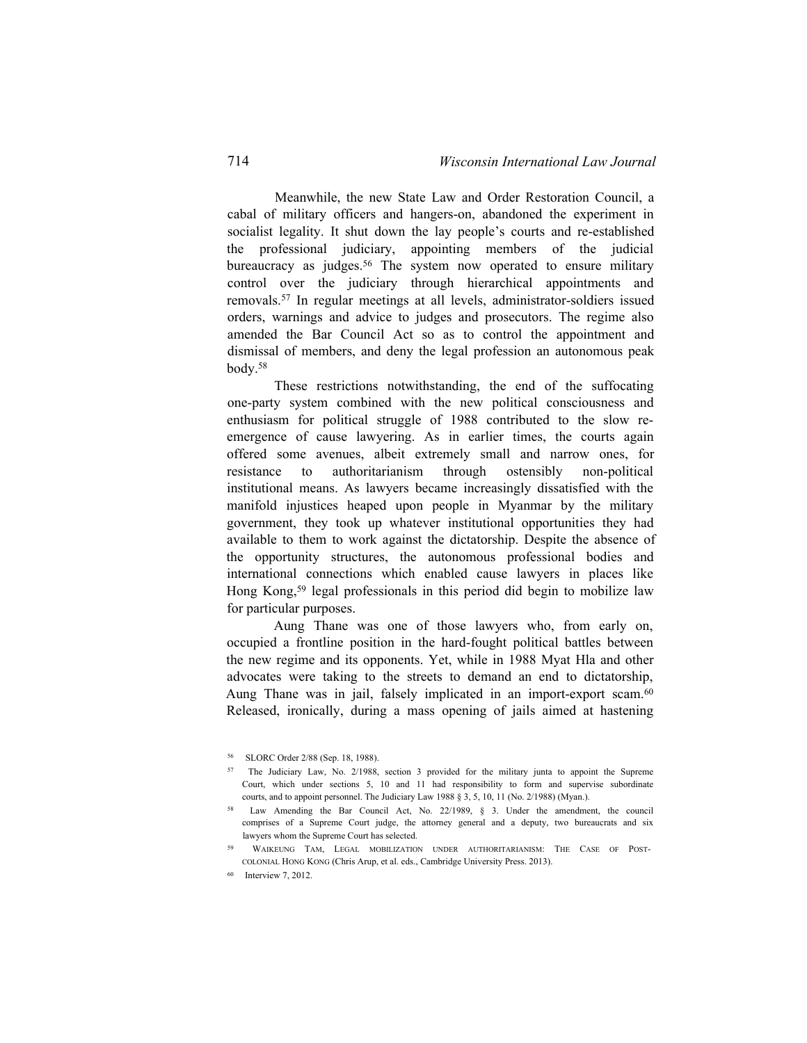Meanwhile, the new State Law and Order Restoration Council, a cabal of military officers and hangers-on, abandoned the experiment in socialist legality. It shut down the lay people's courts and re-established the professional judiciary, appointing members of the judicial bureaucracy as judges.<sup>56</sup> The system now operated to ensure military control over the judiciary through hierarchical appointments and removals.<sup>57</sup> In regular meetings at all levels, administrator-soldiers issued orders, warnings and advice to judges and prosecutors. The regime also amended the Bar Council Act so as to control the appointment and dismissal of members, and deny the legal profession an autonomous peak body.<sup>58</sup>

These restrictions notwithstanding, the end of the suffocating one-party system combined with the new political consciousness and enthusiasm for political struggle of 1988 contributed to the slow reemergence of cause lawyering. As in earlier times, the courts again offered some avenues, albeit extremely small and narrow ones, for resistance to authoritarianism through ostensibly non-political institutional means. As lawyers became increasingly dissatisfied with the manifold injustices heaped upon people in Myanmar by the military government, they took up whatever institutional opportunities they had available to them to work against the dictatorship. Despite the absence of the opportunity structures, the autonomous professional bodies and international connections which enabled cause lawyers in places like Hong Kong,<sup>59</sup> legal professionals in this period did begin to mobilize law for particular purposes.

Aung Thane was one of those lawyers who, from early on, occupied a frontline position in the hard-fought political battles between the new regime and its opponents. Yet, while in 1988 Myat Hla and other advocates were taking to the streets to demand an end to dictatorship, Aung Thane was in jail, falsely implicated in an import-export scam.<sup>60</sup> Released, ironically, during a mass opening of jails aimed at hastening

<sup>56</sup> SLORC Order 2/88 (Sep. 18, 1988).

<sup>57</sup> The Judiciary Law, No. 2/1988, section 3 provided for the military junta to appoint the Supreme Court, which under sections 5, 10 and 11 had responsibility to form and supervise subordinate courts, and to appoint personnel. The Judiciary Law 1988 § 3, 5, 10, 11 (No. 2/1988) (Myan.).

<sup>58</sup> Law Amending the Bar Council Act, No. 22/1989, § 3. Under the amendment, the council comprises of a Supreme Court judge, the attorney general and a deputy, two bureaucrats and six lawyers whom the Supreme Court has selected.

WAIKEUNG TAM, LEGAL MOBILIZATION UNDER AUTHORITARIANISM: THE CASE OF POSTcolonial Hong Kong (Chris Arup, et al. eds., Cambridge University Press. 2013).

<sup>60</sup> Interview 7, 2012.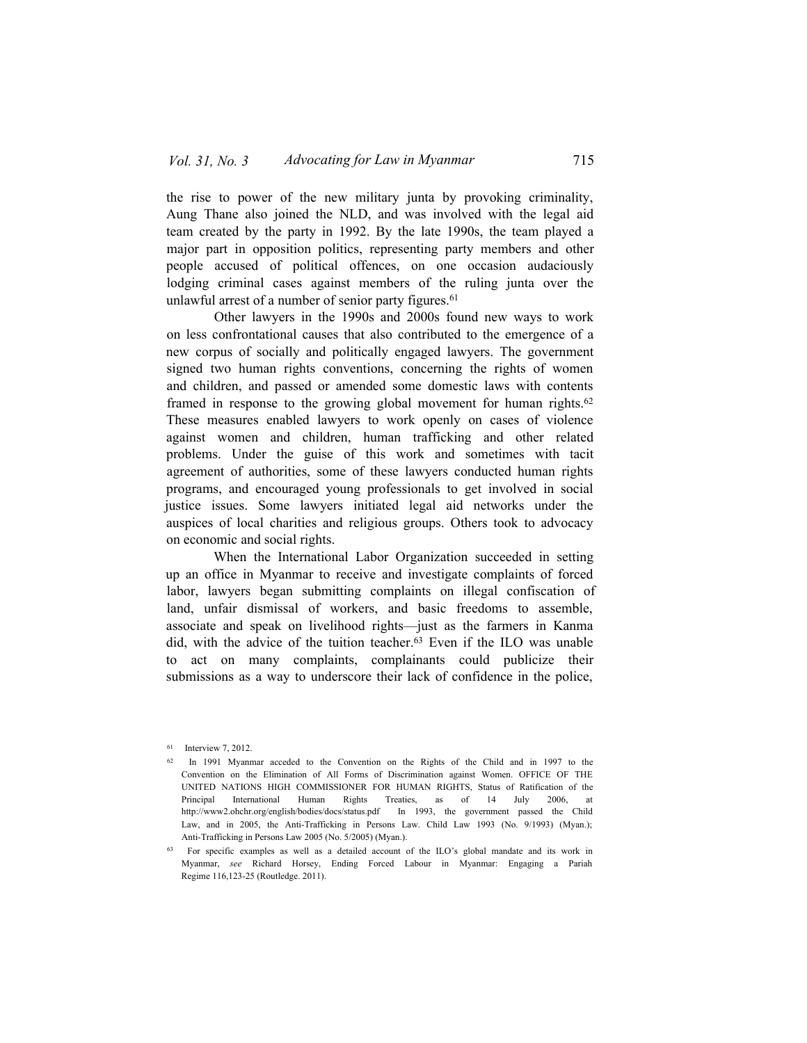the rise to power of the new military junta by provoking criminality, Aung Thane also joined the NLD, and was involved with the legal aid team created by the party in 1992. By the late 1990s, the team played a major part in opposition politics, representing party members and other people accused of political offences, on one occasion audaciously lodging criminal cases against members of the ruling junta over the unlawful arrest of a number of senior party figures.<sup>61</sup>

Other lawyers in the 1990s and 2000s found new ways to work on less confrontational causes that also contributed to the emergence of a new corpus of socially and politically engaged lawyers. The government signed two human rights conventions, concerning the rights of women and children, and passed or amended some domestic laws with contents framed in response to the growing global movement for human rights.<sup>62</sup> These measures enabled lawyers to work openly on cases of violence against women and children, human trafficking and other related problems. Under the guise of this work and sometimes with tacit agreement of authorities, some of these lawyers conducted human rights programs, and encouraged young professionals to get involved in social justice issues. Some lawyers initiated legal aid networks under the auspices of local charities and religious groups. Others took to advocacy on economic and social rights.

When the International Labor Organization succeeded in setting up an office in Myanmar to receive and investigate complaints of forced labor, lawyers began submitting complaints on illegal confiscation of land, unfair dismissal of workers, and basic freedoms to assemble, associate and speak on livelihood rights—just as the farmers in Kanma did, with the advice of the tuition teacher.<sup>63</sup> Even if the ILO was unable to act on many complaints, complainants could publicize their submissions as a way to underscore their lack of confidence in the police,

<sup>61</sup> Interview 7, 2012.

<sup>62</sup> In 1991 Myanmar acceded to the Convention on the Rights of the Child and in 1997 to the Convention on the Elimination of All Forms of Discrimination against Women. OFFICE OF THE UNITED NATIONS HIGH COMMISSIONER FOR HUMAN RIGHTS, Status of Ratification of the Principal International Human Rights Treaties, as of 14 July 2006, http://www2.ohchr.org/english/bodies/docs/status.pdf In 1993, the government passed the Child Law, and in 2005, the Anti-Trafficking in Persons Law. Child Law 1993 (No. 9/1993) (Myan.); Anti-Trafficking in Persons Law 2005 (No. 5/2005) (Myan.).

<sup>63</sup> For specific examples as well as a detailed account of the ILO's global mandate and its work in Myanmar, *see* Richard Horsey, Ending Forced Labour in Myanmar: Engaging a Pariah Regime 116,123-25 (Routledge. 2011).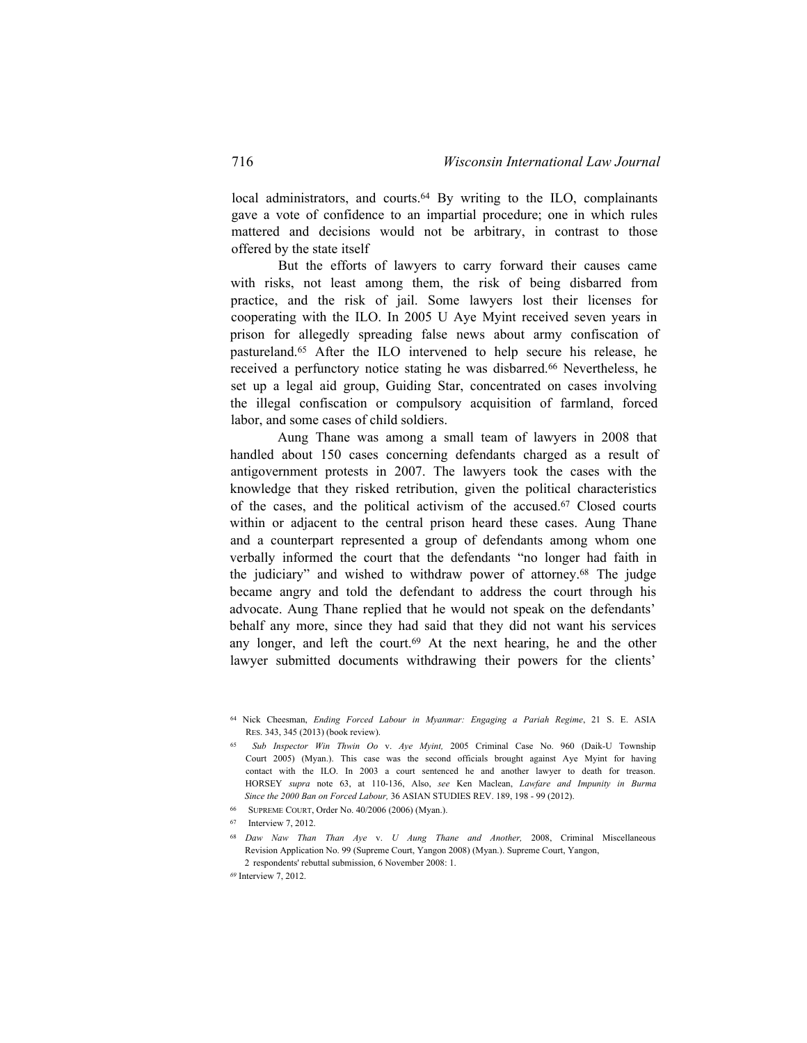local administrators, and courts.64 By writing to the ILO, complainants gave a vote of confidence to an impartial procedure; one in which rules mattered and decisions would not be arbitrary, in contrast to those offered by the state itself

But the efforts of lawyers to carry forward their causes came with risks, not least among them, the risk of being disbarred from practice, and the risk of jail. Some lawyers lost their licenses for cooperating with the ILO. In 2005 U Aye Myint received seven years in prison for allegedly spreading false news about army confiscation of pastureland.<sup>65</sup> After the ILO intervened to help secure his release, he received a perfunctory notice stating he was disbarred.<sup>66</sup> Nevertheless, he set up a legal aid group, Guiding Star, concentrated on cases involving the illegal confiscation or compulsory acquisition of farmland, forced labor, and some cases of child soldiers.

Aung Thane was among a small team of lawyers in 2008 that handled about 150 cases concerning defendants charged as a result of antigovernment protests in 2007. The lawyers took the cases with the knowledge that they risked retribution, given the political characteristics of the cases, and the political activism of the accused.67 Closed courts within or adjacent to the central prison heard these cases. Aung Thane and a counterpart represented a group of defendants among whom one verbally informed the court that the defendants "no longer had faith in the judiciary" and wished to withdraw power of attorney.<sup>68</sup> The judge became angry and told the defendant to address the court through his advocate. Aung Thane replied that he would not speak on the defendants' behalf any more, since they had said that they did not want his services any longer, and left the court.<sup>69</sup> At the next hearing, he and the other lawyer submitted documents withdrawing their powers for the clients'

- <sup>66</sup> Supreme Court, Order No. 40/2006 (2006) (Myan.).
- <sup>67</sup> Interview 7, 2012.

<sup>64</sup> Nick Cheesman, *Ending Forced Labour in Myanmar: Engaging a Pariah Regime*, 21 S. E. ASIA Res. 343, 345 (2013) (book review).

<sup>65</sup> *Sub Inspector Win Thwin Oo* v. *Aye Myint,* 2005 Criminal Case No. 960 (Daik-U Township Court 2005) (Myan.). This case was the second officials brought against Aye Myint for having contact with the ILO. In 2003 a court sentenced he and another lawyer to death for treason. HORSEY *supra* note 63, at 110-136, Also, *see* Ken Maclean, *Lawfare and Impunity in Burma Since the 2000 Ban on Forced Labour,* 36 ASIAN STUDIES REV. 189, 198 - 99 (2012).

<sup>68</sup> *Daw Naw Than Than Aye* v. *U Aung Thane and Another,* 2008, Criminal Miscellaneous Revision Application No. 99 (Supreme Court, Yangon 2008) (Myan.). Supreme Court, Yangon, 2 respondents' rebuttal submission, 6 November 2008: 1.

*<sup>69</sup>* Interview 7, 2012.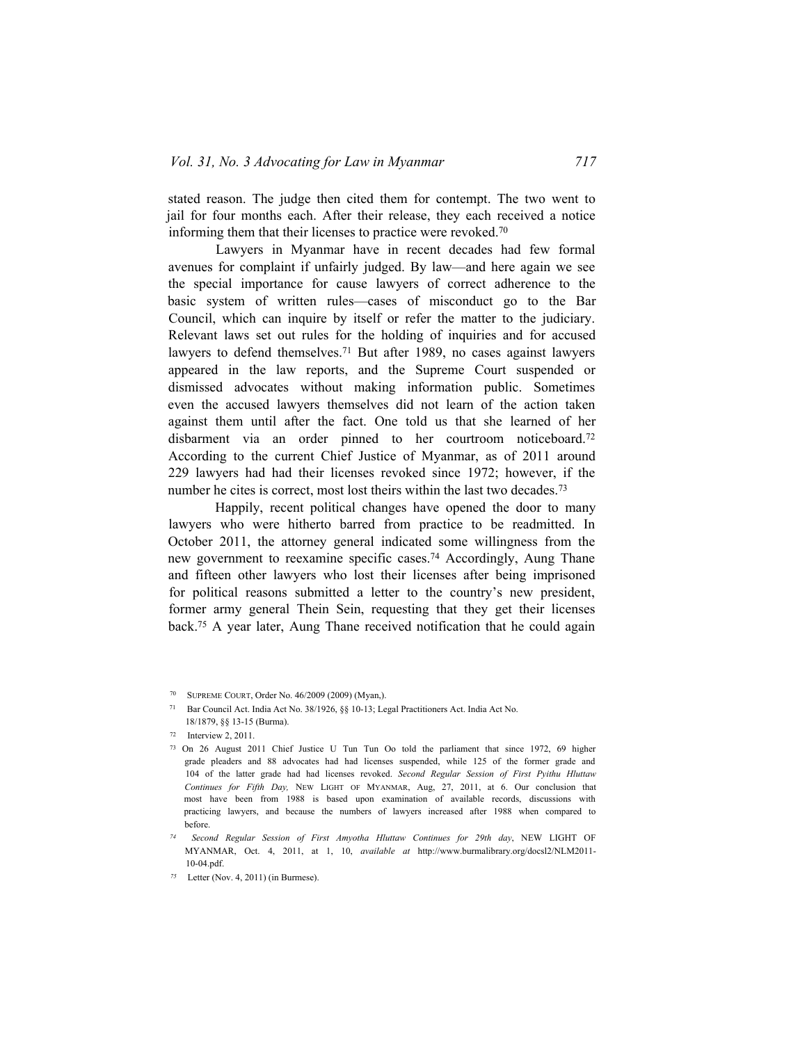stated reason. The judge then cited them for contempt. The two went to jail for four months each. After their release, they each received a notice informing them that their licenses to practice were revoked.<sup>70</sup>

Lawyers in Myanmar have in recent decades had few formal avenues for complaint if unfairly judged. By law—and here again we see the special importance for cause lawyers of correct adherence to the basic system of written rules—cases of misconduct go to the Bar Council, which can inquire by itself or refer the matter to the judiciary. Relevant laws set out rules for the holding of inquiries and for accused lawyers to defend themselves.<sup>71</sup> But after 1989, no cases against lawyers appeared in the law reports, and the Supreme Court suspended or dismissed advocates without making information public. Sometimes even the accused lawyers themselves did not learn of the action taken against them until after the fact. One told us that she learned of her disbarment via an order pinned to her courtroom noticeboard.<sup>72</sup> According to the current Chief Justice of Myanmar, as of 2011 around 229 lawyers had had their licenses revoked since 1972; however, if the number he cites is correct, most lost theirs within the last two decades.<sup>73</sup>

Happily, recent political changes have opened the door to many lawyers who were hitherto barred from practice to be readmitted. In October 2011, the attorney general indicated some willingness from the new government to reexamine specific cases.<sup>74</sup> Accordingly, Aung Thane and fifteen other lawyers who lost their licenses after being imprisoned for political reasons submitted a letter to the country's new president, former army general Thein Sein, requesting that they get their licenses back.<sup>75</sup> A year later, Aung Thane received notification that he could again

<sup>70</sup> Supreme Court, Order No. 46/2009 (2009) (Myan,).

<sup>71</sup> Bar Council Act. India Act No. 38/1926, §§ 10-13; Legal Practitioners Act. India Act No. 18/1879, §§ 13-15 (Burma).

<sup>72</sup> Interview 2, 2011.

<sup>73</sup> On 26 August 2011 Chief Justice U Tun Tun Oo told the parliament that since 1972, 69 higher grade pleaders and 88 advocates had had licenses suspended, while 125 of the former grade and 104 of the latter grade had had licenses revoked. *Second Regular Session of First Pyithu Hluttaw* Continues for Fifth Day, NEW LIGHT OF MYANMAR, Aug, 27, 2011, at 6. Our conclusion that most have been from 1988 is based upon examination of available records, discussions with practicing lawyers, and because the numbers of lawyers increased after 1988 when compared to before.

*<sup>74</sup> Second Regular Session of First Amyotha Hluttaw Continues for 29th day*, NEW LIGHT OF MYANMAR, Oct. 4, 2011, at 1, 10, *available at* [http://www.burmalibrary.org/docsl2/NLM2011-](http://www.bunnalibrary.org/docsl2/NLM2011-) 10-04.pdf.

*<sup>75</sup>* Letter (Nov. 4, 2011) (in Burmese).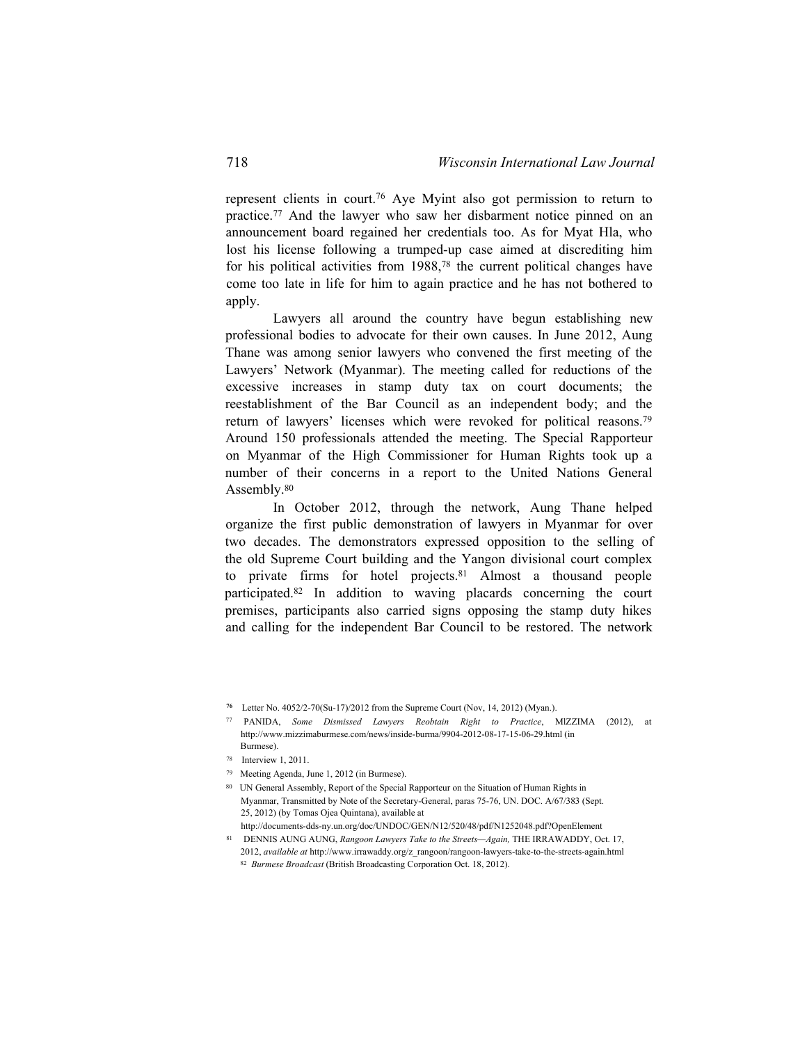represent clients in court.<sup>76</sup> Aye Myint also got permission to return to practice.<sup>77</sup> And the lawyer who saw her disbarment notice pinned on an announcement board regained her credentials too. As for Myat Hla, who lost his license following a trumped-up case aimed at discrediting him for his political activities from 1988,78 the current political changes have come too late in life for him to again practice and he has not bothered to apply.

Lawyers all around the country have begun establishing new professional bodies to advocate for their own causes. In June 2012, Aung Thane was among senior lawyers who convened the first meeting of the Lawyers' Network (Myanmar). The meeting called for reductions of the excessive increases in stamp duty tax on court documents; the reestablishment of the Bar Council as an independent body; and the return of lawyers' licenses which were revoked for political reasons.<sup>79</sup> Around 150 professionals attended the meeting. The Special Rapporteur on Myanmar of the High Commissioner for Human Rights took up a number of their concerns in a report to the United Nations General Assembly.<sup>80</sup>

In October 2012, through the network, Aung Thane helped organize the first public demonstration of lawyers in Myanmar for over two decades. The demonstrators expressed opposition to the selling of the old Supreme Court building and the Yangon divisional court complex to private firms for hotel projects.<sup>81</sup> Almost a thousand people participated.<sup>82</sup> In addition to waving placards concerning the court premises, participants also carried signs opposing the stamp duty hikes and calling for the independent Bar Council to be restored. The network

- 79 Meeting Agenda, June 1, 2012 (in Burmese).
- 80 UN General Assembly, Report of the Special Rapporteur on the Situation of Human Rights in Myanmar, Transmitted by Note of the Secretary-General, paras 75-76, UN. DOC. A/67/383 (Sept. 25, 2012) (by Tomas Ojea Quintana), available at
- http://documents-dds-ny.un.org/doc/UNDOC/GEN/N12/520/48/pdf/N1252048.pdf?OpenElement
- <sup>81</sup> DENNIS AUNG AUNG, *Rangoon Lawyers Take to the Streets—Again,* THE IRRAWADDY, Oct. 17, 2012, *available at* http://www.irrawaddy.org/z\_rangoon/rangoon-lawyers-take-to-the-streets-again.html 82 *Burmese Broadcast* (British Broadcasting Corporation Oct. 18, 2012).

**<sup>76</sup>** Letter No. 4052/2-70(Su-17)/2012 from the Supreme Court (Nov, 14, 2012) (Myan.).

<sup>77</sup> PANIDA, *Some Dismissed Lawyers Reobtain Right to Practice*, MlZZIMA (2012), at <http://www.mizzimaburmese.com/news/inside-burma/9904-2012-08-17-15-06-29.html>(in Burmese).

<sup>78</sup> Interview 1, 2011.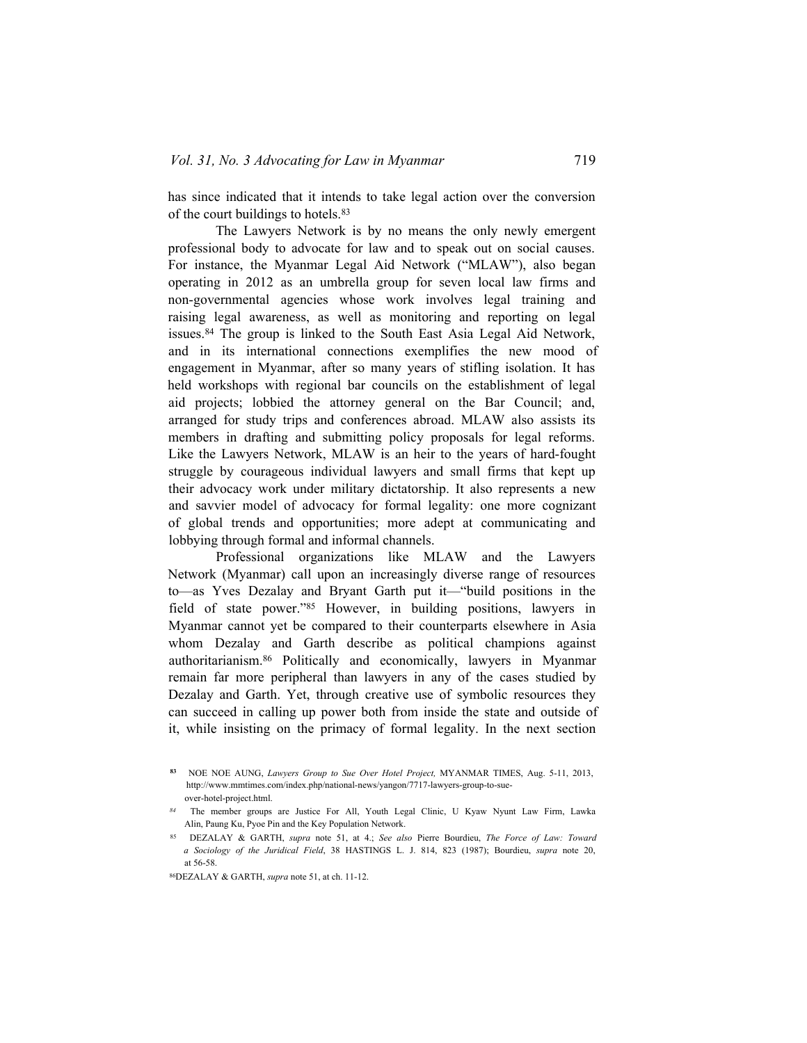has since indicated that it intends to take legal action over the conversion of the court buildings to hotels.<sup>83</sup>

The Lawyers Network is by no means the only newly emergent professional body to advocate for law and to speak out on social causes. For instance, the Myanmar Legal Aid Network ("MLAW"), also began operating in 2012 as an umbrella group for seven local law firms and non-governmental agencies whose work involves legal training and raising legal awareness, as well as monitoring and reporting on legal issues.<sup>84</sup> The group is linked to the South East Asia Legal Aid Network, and in its international connections exemplifies the new mood of engagement in Myanmar, after so many years of stifling isolation. It has held workshops with regional bar councils on the establishment of legal aid projects; lobbied the attorney general on the Bar Council; and, arranged for study trips and conferences abroad. MLAW also assists its members in drafting and submitting policy proposals for legal reforms. Like the Lawyers Network, MLAW is an heir to the years of hard-fought struggle by courageous individual lawyers and small firms that kept up their advocacy work under military dictatorship. It also represents a new and savvier model of advocacy for formal legality: one more cognizant of global trends and opportunities; more adept at communicating and lobbying through formal and informal channels.

Professional organizations like MLAW and the Lawyers Network (Myanmar) call upon an increasingly diverse range of resources to—as Yves Dezalay and Bryant Garth put it—"build positions in the field of state power."<sup>85</sup> However, in building positions, lawyers in Myanmar cannot yet be compared to their counterparts elsewhere in Asia whom Dezalay and Garth describe as political champions against authoritarianism.86 Politically and economically, lawyers in Myanmar remain far more peripheral than lawyers in any of the cases studied by Dezalay and Garth. Yet, through creative use of symbolic resources they can succeed in calling up power both from inside the state and outside of it, while insisting on the primacy of formal legality. In the next section

**<sup>83</sup>** NOE NOE AUNG, *Lawyers Group to Sue Over Hotel Project,* MYANMAR TIMES, Aug. 5-11, 2013, [http://www.mmtimes.com/index.php/national-news/yangon/7717-lawyers-group-to-sue](http://www.mmtimes.com/index.php/national-news/yangon/7717-lawyers-group-to-sue-)over-hotel-project.html.

*<sup>84</sup>* The member groups are Justice For All, Youth Legal Clinic, U Kyaw Nyunt Law Firm, Lawka Alin, Paung Ku, Pyoe Pin and the Key Population Network.

<sup>85</sup> DEZALAY & GARTH, *supra* note 51, at 4.; *See also* Pierre Bourdieu, *The Force of Law: Toward a Sociology of the Juridical Field*, 38 HASTINGS L. J. 814, 823 (1987); Bourdieu, *supra* note 20, at 56-58.

<sup>86</sup>DEZALAY & GARTH, *supra* note 51, at ch. 11-12.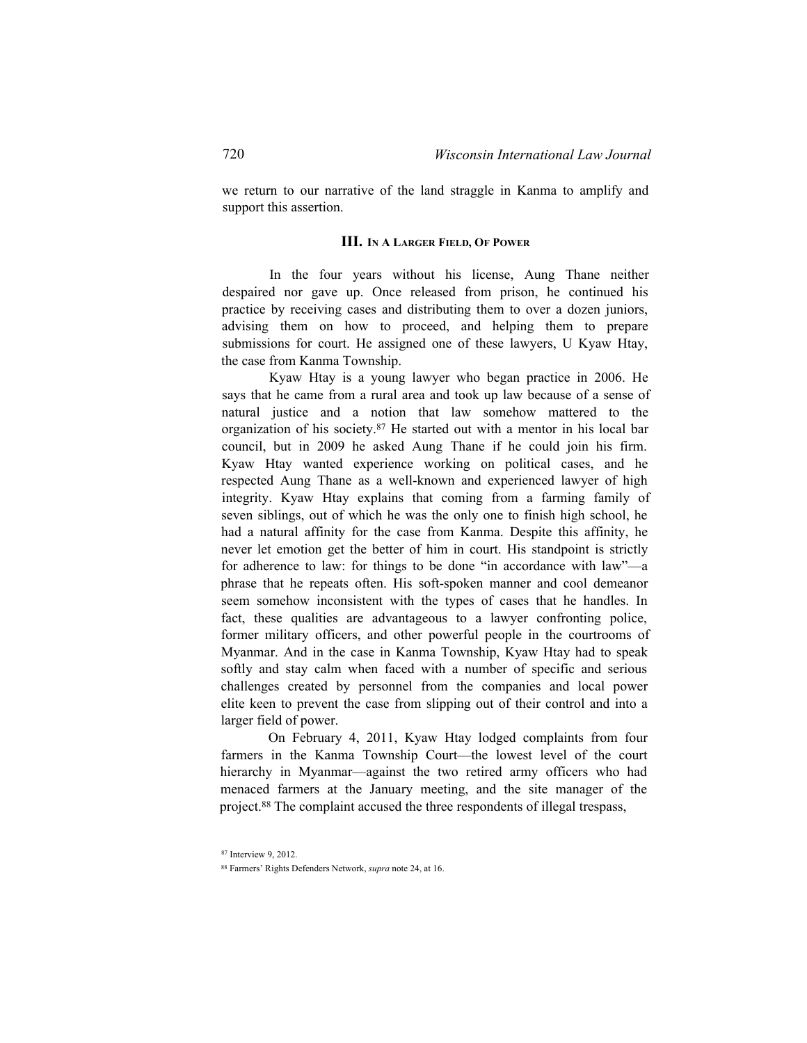we return to our narrative of the land straggle in Kanma to amplify and support this assertion.

#### **III. In A Larger Field, Of Power**

In the four years without his license, Aung Thane neither despaired nor gave up. Once released from prison, he continued his practice by receiving cases and distributing them to over a dozen juniors, advising them on how to proceed, and helping them to prepare submissions for court. He assigned one of these lawyers, U Kyaw Htay, the case from Kanma Township.

Kyaw Htay is a young lawyer who began practice in 2006. He says that he came from a rural area and took up law because of a sense of natural justice and a notion that law somehow mattered to the organization of his society.<sup>87</sup> He started out with a mentor in his local bar council, but in 2009 he asked Aung Thane if he could join his firm. Kyaw Htay wanted experience working on political cases, and he respected Aung Thane as a well-known and experienced lawyer of high integrity. Kyaw Htay explains that coming from a farming family of seven siblings, out of which he was the only one to finish high school, he had a natural affinity for the case from Kanma. Despite this affinity, he never let emotion get the better of him in court. His standpoint is strictly for adherence to law: for things to be done "in accordance with law"—a phrase that he repeats often. His soft-spoken manner and cool demeanor seem somehow inconsistent with the types of cases that he handles. In fact, these qualities are advantageous to a lawyer confronting police, former military officers, and other powerful people in the courtrooms of Myanmar. And in the case in Kanma Township, Kyaw Htay had to speak softly and stay calm when faced with a number of specific and serious challenges created by personnel from the companies and local power elite keen to prevent the case from slipping out of their control and into a larger field of power.

On February 4, 2011, Kyaw Htay lodged complaints from four farmers in the Kanma Township Court—the lowest level of the court hierarchy in Myanmar—against the two retired army officers who had menaced farmers at the January meeting, and the site manager of the project.<sup>88</sup> The complaint accused the three respondents of illegal trespass,

<sup>87</sup> Interview 9, 2012.

<sup>88</sup> Farmers' Rights Defenders Network, *supra* note 24, at 16.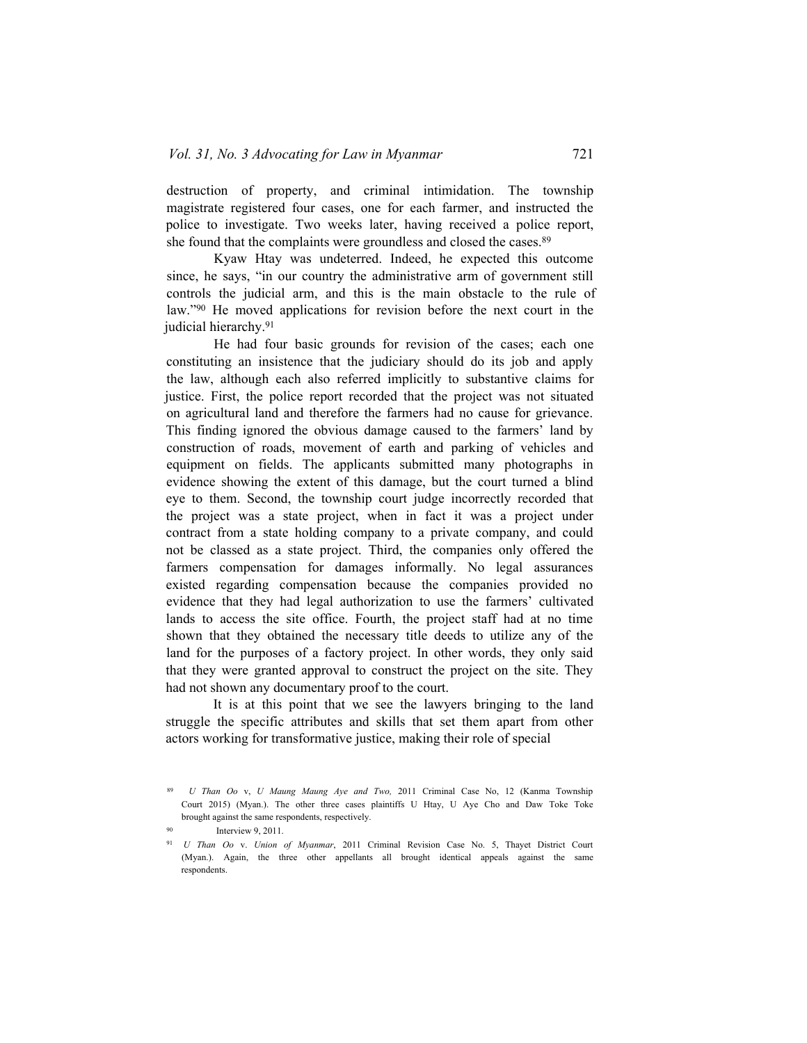destruction of property, and criminal intimidation. The township magistrate registered four cases, one for each farmer, and instructed the police to investigate. Two weeks later, having received a police report, she found that the complaints were groundless and closed the cases.<sup>89</sup>

Kyaw Htay was undeterred. Indeed, he expected this outcome since, he says, "in our country the administrative arm of government still controls the judicial arm, and this is the main obstacle to the rule of law."90 He moved applications for revision before the next court in the judicial hierarchy.<sup>91</sup>

He had four basic grounds for revision of the cases; each one constituting an insistence that the judiciary should do its job and apply the law, although each also referred implicitly to substantive claims for justice. First, the police report recorded that the project was not situated on agricultural land and therefore the farmers had no cause for grievance. This finding ignored the obvious damage caused to the farmers' land by construction of roads, movement of earth and parking of vehicles and equipment on fields. The applicants submitted many photographs in evidence showing the extent of this damage, but the court turned a blind eye to them. Second, the township court judge incorrectly recorded that the project was a state project, when in fact it was a project under contract from a state holding company to a private company, and could not be classed as a state project. Third, the companies only offered the farmers compensation for damages informally. No legal assurances existed regarding compensation because the companies provided no evidence that they had legal authorization to use the farmers' cultivated lands to access the site office. Fourth, the project staff had at no time shown that they obtained the necessary title deeds to utilize any of the land for the purposes of a factory project. In other words, they only said that they were granted approval to construct the project on the site. They had not shown any documentary proof to the court.

It is at this point that we see the lawyers bringing to the land struggle the specific attributes and skills that set them apart from other actors working for transformative justice, making their role of special

<sup>89</sup> *U Than Oo* v, *U Maung Maung Aye and Two,* 2011 Criminal Case No, 12 (Kanma Township Court 2015) (Myan.). The other three cases plaintiffs U Htay, U Aye Cho and Daw Toke Toke brought against the same respondents, respectively.

Interview 9, 2011.

<sup>91</sup> *U Than Oo* v. *Union of Myanmar*, 2011 Criminal Revision Case No. 5, Thayet District Court (Myan.). Again, the three other appellants all brought identical appeals against the same respondents.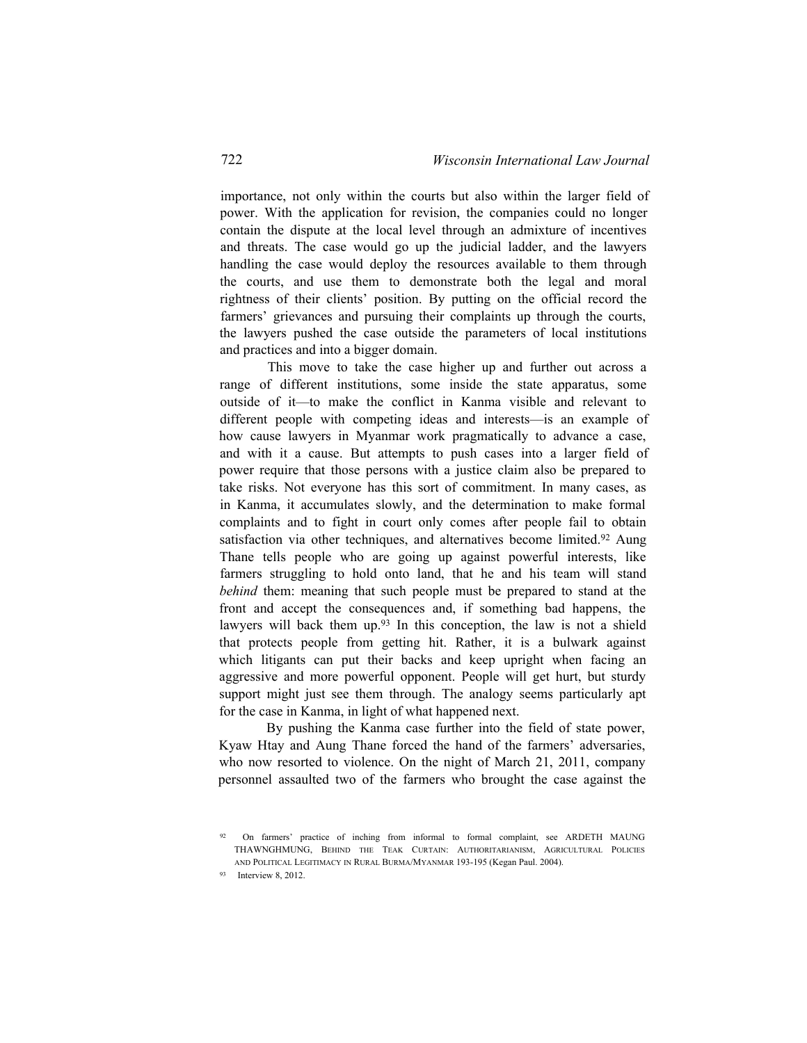importance, not only within the courts but also within the larger field of power. With the application for revision, the companies could no longer contain the dispute at the local level through an admixture of incentives and threats. The case would go up the judicial ladder, and the lawyers handling the case would deploy the resources available to them through the courts, and use them to demonstrate both the legal and moral rightness of their clients' position. By putting on the official record the farmers' grievances and pursuing their complaints up through the courts, the lawyers pushed the case outside the parameters of local institutions and practices and into a bigger domain.

This move to take the case higher up and further out across a range of different institutions, some inside the state apparatus, some outside of it—to make the conflict in Kanma visible and relevant to different people with competing ideas and interests—is an example of how cause lawyers in Myanmar work pragmatically to advance a case, and with it a cause. But attempts to push cases into a larger field of power require that those persons with a justice claim also be prepared to take risks. Not everyone has this sort of commitment. In many cases, as in Kanma, it accumulates slowly, and the determination to make formal complaints and to fight in court only comes after people fail to obtain satisfaction via other techniques, and alternatives become limited.<sup>92</sup> Aung Thane tells people who are going up against powerful interests, like farmers struggling to hold onto land, that he and his team will stand *behind* them: meaning that such people must be prepared to stand at the front and accept the consequences and, if something bad happens, the lawyers will back them up.<sup>93</sup> In this conception, the law is not a shield that protects people from getting hit. Rather, it is a bulwark against which litigants can put their backs and keep upright when facing an aggressive and more powerful opponent. People will get hurt, but sturdy support might just see them through. The analogy seems particularly apt for the case in Kanma, in light of what happened next.

By pushing the Kanma case further into the field of state power, Kyaw Htay and Aung Thane forced the hand of the farmers' adversaries, who now resorted to violence. On the night of March 21, 2011, company personnel assaulted two of the farmers who brought the case against the

<sup>92</sup> On farmers' practice of inching from informal to formal complaint, see ARDETH MAUNG THAWNGHMUNG, Behind the Teak Curtain: Authoritarianism, Agricultural Policies and Political Legitimacy in Rural Burma/Myanmar 193-195 (Kegan Paul. 2004).

<sup>93</sup> Interview 8, 2012.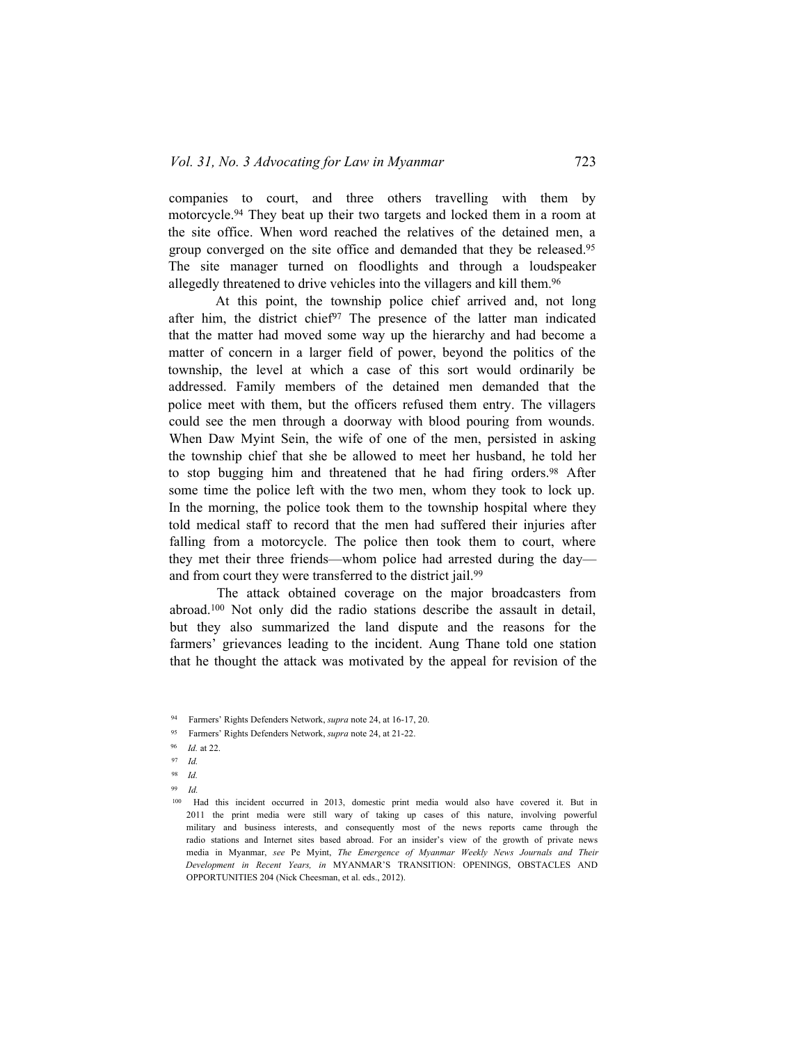companies to court, and three others travelling with them by motorcycle.94 They beat up their two targets and locked them in a room at the site office. When word reached the relatives of the detained men, a group converged on the site office and demanded that they be released.<sup>95</sup> The site manager turned on floodlights and through a loudspeaker allegedly threatened to drive vehicles into the villagers and kill them.<sup>96</sup>

At this point, the township police chief arrived and, not long after him, the district chief<sup>97</sup> The presence of the latter man indicated that the matter had moved some way up the hierarchy and had become a matter of concern in a larger field of power, beyond the politics of the township, the level at which a case of this sort would ordinarily be addressed. Family members of the detained men demanded that the police meet with them, but the officers refused them entry. The villagers could see the men through a doorway with blood pouring from wounds. When Daw Myint Sein, the wife of one of the men, persisted in asking the township chief that she be allowed to meet her husband, he told her to stop bugging him and threatened that he had firing orders.<sup>98</sup> After some time the police left with the two men, whom they took to lock up. In the morning, the police took them to the township hospital where they told medical staff to record that the men had suffered their injuries after falling from a motorcycle. The police then took them to court, where they met their three friends—whom police had arrested during the day and from court they were transferred to the district jail.<sup>99</sup>

The attack obtained coverage on the major broadcasters from abroad.100 Not only did the radio stations describe the assault in detail, but they also summarized the land dispute and the reasons for the farmers' grievances leading to the incident. Aung Thane told one station that he thought the attack was motivated by the appeal for revision of the

<sup>95</sup> Farmers' Rights Defenders Network, *supra* note 24, at 21-22.

- <sup>97</sup> *Id.*
- <sup>98</sup> *Id.*
- <sup>99</sup> *Id.*

<sup>94</sup> Farmers' Rights Defenders Network, *supra* note 24, at 16-17, 20.

<sup>96</sup> *Id.* at 22.

<sup>100</sup> Had this incident occurred in 2013, domestic print media would also have covered it. But in 2011 the print media were still wary of taking up cases of this nature, involving powerful military and business interests, and consequently most of the news reports came through the radio stations and Internet sites based abroad. For an insider's view of the growth of private news media in Myanmar, *see* Pe Myint, *The Emergence of Myanmar Weekly News Journals and Their Development in Recent Years, in* MYANMAR'S TRANSITION: OPENINGS, OBSTACLES AND OPPORTUNITIES 204 (Nick Cheesman, et al. eds., 2012).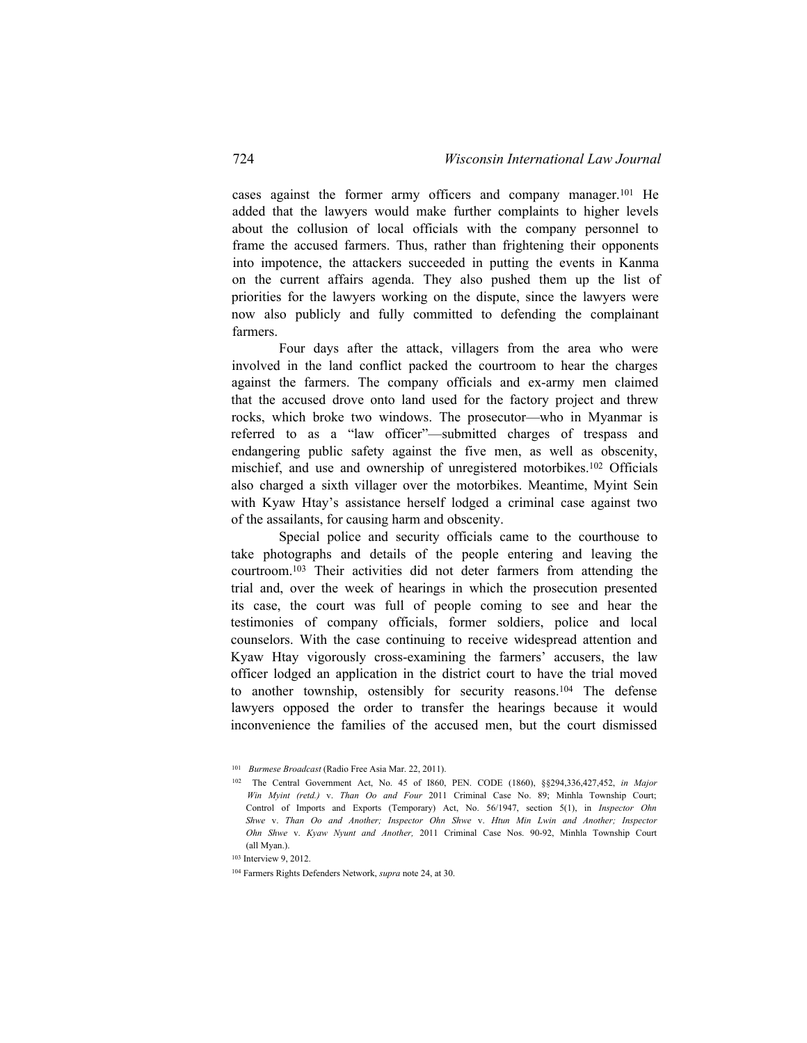cases against the former army officers and company manager.<sup>101</sup> He added that the lawyers would make further complaints to higher levels about the collusion of local officials with the company personnel to frame the accused farmers. Thus, rather than frightening their opponents into impotence, the attackers succeeded in putting the events in Kanma on the current affairs agenda. They also pushed them up the list of priorities for the lawyers working on the dispute, since the lawyers were now also publicly and fully committed to defending the complainant farmers.

Four days after the attack, villagers from the area who were involved in the land conflict packed the courtroom to hear the charges against the farmers. The company officials and ex-army men claimed that the accused drove onto land used for the factory project and threw rocks, which broke two windows. The prosecutor—who in Myanmar is referred to as a "law officer"—submitted charges of trespass and endangering public safety against the five men, as well as obscenity, mischief, and use and ownership of unregistered motorbikes.102 Officials also charged a sixth villager over the motorbikes. Meantime, Myint Sein with Kyaw Htay's assistance herself lodged a criminal case against two of the assailants, for causing harm and obscenity.

Special police and security officials came to the courthouse to take photographs and details of the people entering and leaving the courtroom.103 Their activities did not deter farmers from attending the trial and, over the week of hearings in which the prosecution presented its case, the court was full of people coming to see and hear the testimonies of company officials, former soldiers, police and local counselors. With the case continuing to receive widespread attention and Kyaw Htay vigorously cross-examining the farmers' accusers, the law officer lodged an application in the district court to have the trial moved to another township, ostensibly for security reasons.<sup>104</sup> The defense lawyers opposed the order to transfer the hearings because it would inconvenience the families of the accused men, but the court dismissed

<sup>101</sup> *Burmese Broadcast* (Radio Free Asia Mar. 22, 2011).

<sup>102</sup> The Central Government Act, No. 45 of I860, PEN. CODE (1860), §§294,336,427,452, *in Major Win Myint (retd.)* v. *Than Oo and Four* 2011 Criminal Case No. 89; Minhla Township Court; Control of Imports and Exports (Temporary) Act, No. 56/1947, section 5(1), in *Inspector Ohn Shwe* v. *Than Oo and Another; Inspector Ohn Shwe* v. *Htun Min Lwin and Another; Inspector Ohn Shwe* v. *Kyaw Nyunt and Another,* 2011 Criminal Case Nos. 90-92, Minhla Township Court (all Myan.).

<sup>103</sup> Interview 9, 2012.

<sup>104</sup> Farmers Rights Defenders Network, *supra* note 24, at 30.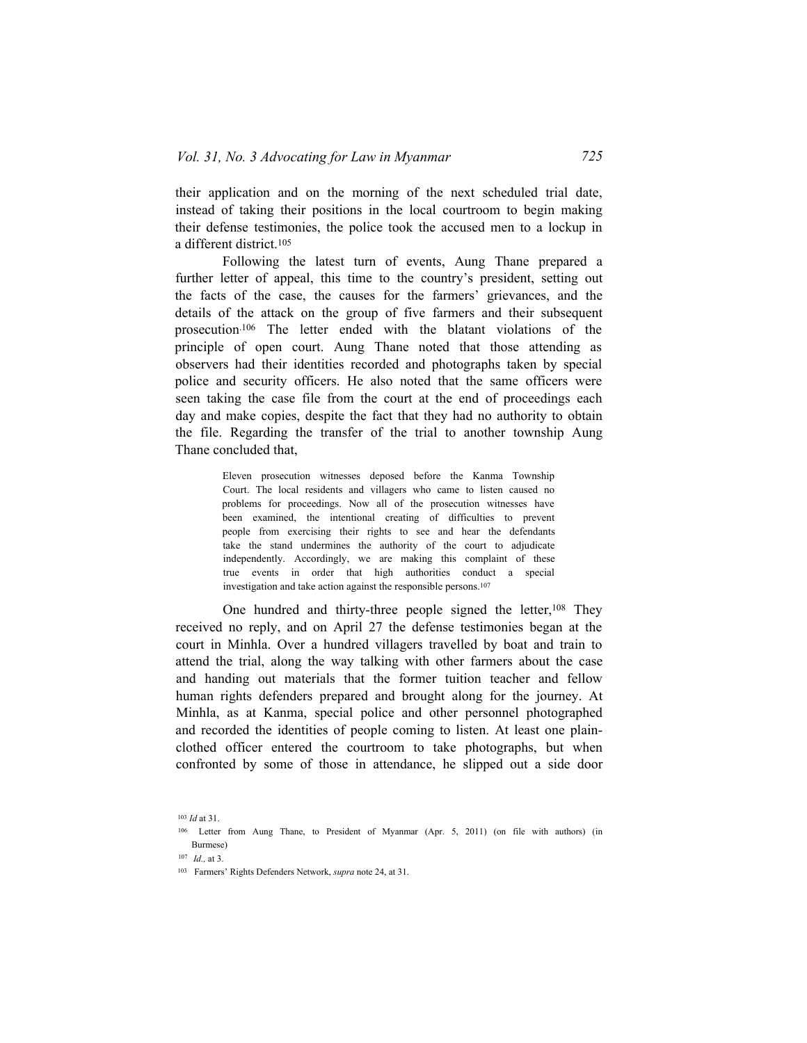their application and on the morning of the next scheduled trial date, instead of taking their positions in the local courtroom to begin making their defense testimonies, the police took the accused men to a lockup in a different district.<sup>105</sup>

Following the latest turn of events, Aung Thane prepared a further letter of appeal, this time to the country's president, setting out the facts of the case, the causes for the farmers' grievances, and the details of the attack on the group of five farmers and their subsequent prosecution.106 The letter ended with the blatant violations of the principle of open court. Aung Thane noted that those attending as observers had their identities recorded and photographs taken by special police and security officers. He also noted that the same officers were seen taking the case file from the court at the end of proceedings each day and make copies, despite the fact that they had no authority to obtain the file. Regarding the transfer of the trial to another township Aung Thane concluded that,

> Eleven prosecution witnesses deposed before the Kanma Township Court. The local residents and villagers who came to listen caused no problems for proceedings. Now all of the prosecution witnesses have been examined, the intentional creating of difficulties to prevent people from exercising their rights to see and hear the defendants take the stand undermines the authority of the court to adjudicate independently. Accordingly, we are making this complaint of these true events in order that high authorities conduct a special investigation and take action against the responsible persons.<sup>107</sup>

One hundred and thirty-three people signed the letter,<sup>108</sup> They received no reply, and on April 27 the defense testimonies began at the court in Minhla. Over a hundred villagers travelled by boat and train to attend the trial, along the way talking with other farmers about the case and handing out materials that the former tuition teacher and fellow human rights defenders prepared and brought along for the journey. At Minhla, as at Kanma, special police and other personnel photographed and recorded the identities of people coming to listen. At least one plainclothed officer entered the courtroom to take photographs, but when confronted by some of those in attendance, he slipped out a side door

<sup>103</sup> *Id* at 31.

<sup>106</sup> Letter from Aung Thane, to President of Myanmar (Apr. 5, 2011) (on file with authors) (in Burmese)

<sup>107</sup> *Id.,* at 3.

<sup>103</sup> Farmers' Rights Defenders Network, *supra* note 24, at 31.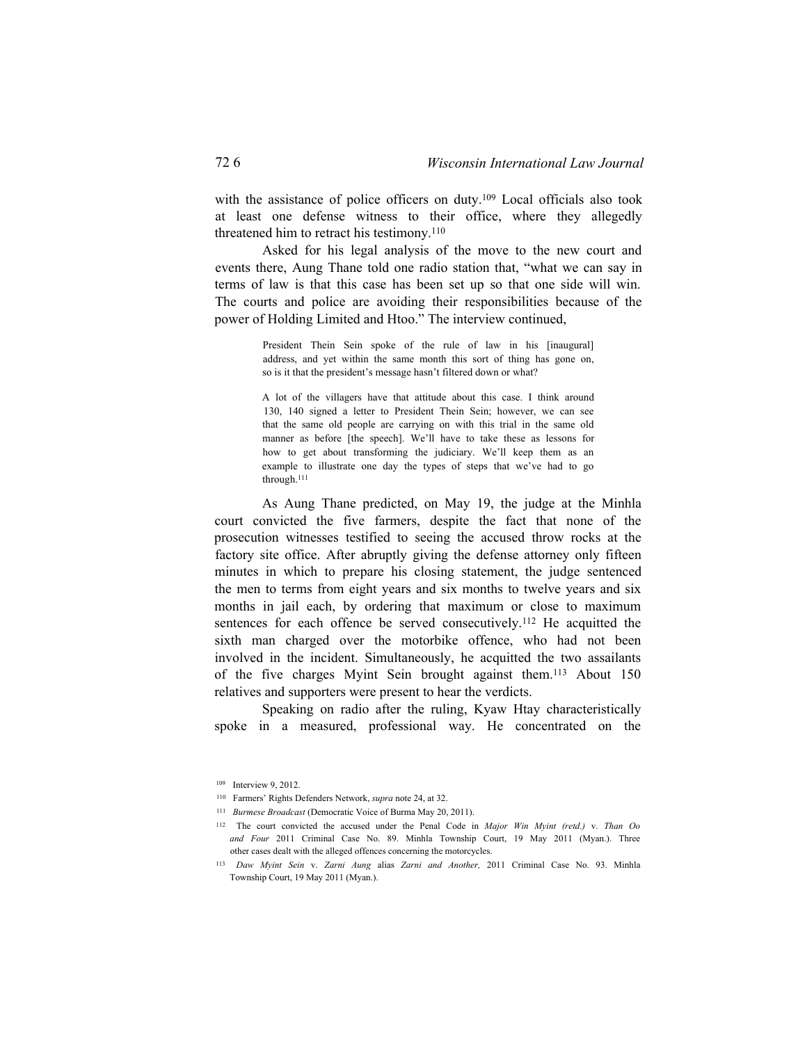with the assistance of police officers on duty.<sup>109</sup> Local officials also took at least one defense witness to their office, where they allegedly threatened him to retract his testimony.<sup>110</sup>

Asked for his legal analysis of the move to the new court and events there, Aung Thane told one radio station that, "what we can say in terms of law is that this case has been set up so that one side will win. The courts and police are avoiding their responsibilities because of the power of Holding Limited and Htoo." The interview continued,

> President Thein Sein spoke of the rule of law in his [inaugural] address, and yet within the same month this sort of thing has gone on, so is it that the president's message hasn't filtered down or what?

> A lot of the villagers have that attitude about this case. I think around 130, 140 signed a letter to President Thein Sein; however, we can see that the same old people are carrying on with this trial in the same old manner as before [the speech]. We'll have to take these as lessons for how to get about transforming the judiciary. We'll keep them as an example to illustrate one day the types of steps that we've had to go through.<sup>111</sup>

As Aung Thane predicted, on May 19, the judge at the Minhla court convicted the five farmers, despite the fact that none of the prosecution witnesses testified to seeing the accused throw rocks at the factory site office. After abruptly giving the defense attorney only fifteen minutes in which to prepare his closing statement, the judge sentenced the men to terms from eight years and six months to twelve years and six months in jail each, by ordering that maximum or close to maximum sentences for each offence be served consecutively.<sup>112</sup> He acquitted the sixth man charged over the motorbike offence, who had not been involved in the incident. Simultaneously, he acquitted the two assailants of the five charges Myint Sein brought against them.113 About 150 relatives and supporters were present to hear the verdicts.

Speaking on radio after the ruling, Kyaw Htay characteristically spoke in a measured, professional way. He concentrated on the

<sup>109</sup> Interview 9, 2012.

<sup>110</sup> Farmers' Rights Defenders Network, *supra* note 24, at 32.

<sup>111</sup> *Burmese Broadcast* (Democratic Voice of Burma May 20, 2011).

<sup>112</sup> The court convicted the accused under the Penal Code in *Major Win Myint (retd.)* v. *Than Oo and Four* 2011 Criminal Case No. 89. Minhla Township Court, 19 May 2011 (Myan.). Three other cases dealt with the alleged offences concerning the motorcycles.

<sup>113</sup> *Daw Myint Sein* v. *Zarni Aung* alias *Zarni and Another,* 2011 Criminal Case No. 93. Minhla Township Court, 19 May 2011 (Myan.).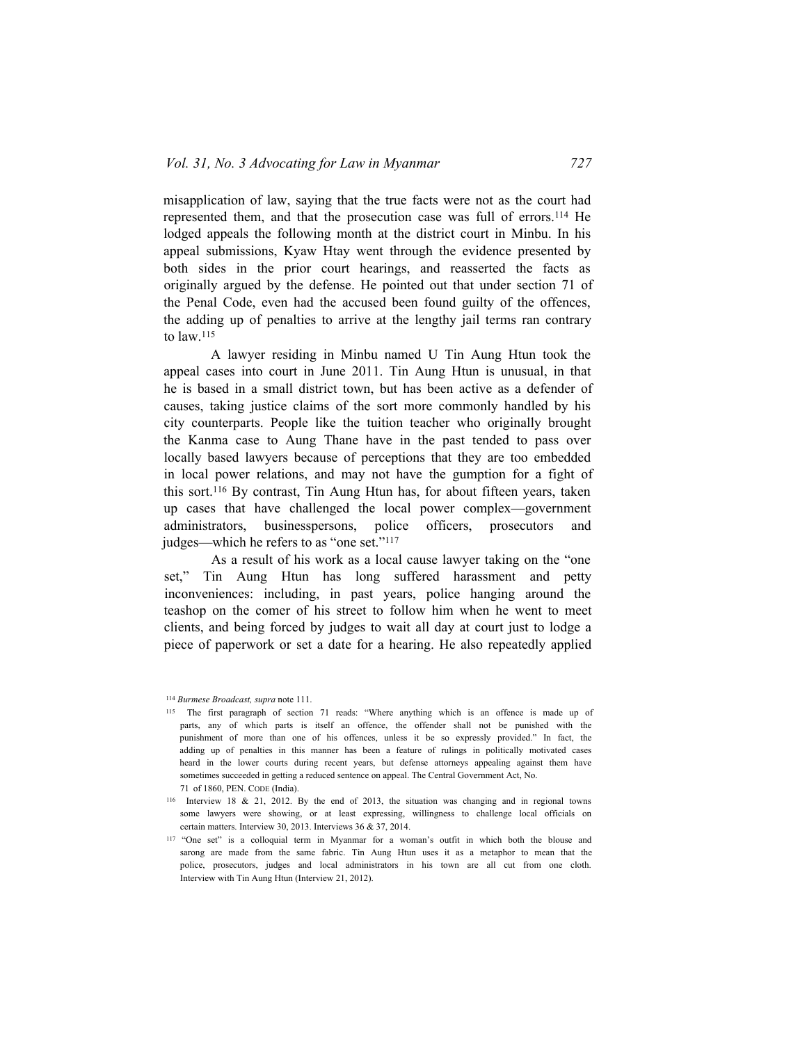misapplication of law, saying that the true facts were not as the court had represented them, and that the prosecution case was full of errors.<sup>114</sup> He lodged appeals the following month at the district court in Minbu. In his appeal submissions, Kyaw Htay went through the evidence presented by both sides in the prior court hearings, and reasserted the facts as originally argued by the defense. He pointed out that under section 71 of the Penal Code, even had the accused been found guilty of the offences, the adding up of penalties to arrive at the lengthy jail terms ran contrary to  $law$ .<sup>115</sup>

A lawyer residing in Minbu named U Tin Aung Htun took the appeal cases into court in June 2011. Tin Aung Htun is unusual, in that he is based in a small district town, but has been active as a defender of causes, taking justice claims of the sort more commonly handled by his city counterparts. People like the tuition teacher who originally brought the Kanma case to Aung Thane have in the past tended to pass over locally based lawyers because of perceptions that they are too embedded in local power relations, and may not have the gumption for a fight of this sort.116 By contrast, Tin Aung Htun has, for about fifteen years, taken up cases that have challenged the local power complex—government administrators, businesspersons, police officers, prosecutors and judges—which he refers to as "one set."<sup>117</sup>

As a result of his work as a local cause lawyer taking on the "one set," Tin Aung Htun has long suffered harassment and petty inconveniences: including, in past years, police hanging around the teashop on the comer of his street to follow him when he went to meet clients, and being forced by judges to wait all day at court just to lodge a piece of paperwork or set a date for a hearing. He also repeatedly applied

<sup>114</sup> *Burmese Broadcast, supra* note 111.

<sup>115</sup> The first paragraph of section 71 reads: "Where anything which is an offence is made up of parts, any of which parts is itself an offence, the offender shall not be punished with the punishment of more than one of his offences, unless it be so expressly provided." In fact, the adding up of penalties in this manner has been a feature of rulings in politically motivated cases heard in the lower courts during recent years, but defense attorneys appealing against them have sometimes succeeded in getting a reduced sentence on appeal. The Central Government Act, No. 71 of 1860. PEN. CODE (India).

<sup>116</sup> Interview 18 & 21, 2012. By the end of 2013, the situation was changing and in regional towns some lawyers were showing, or at least expressing, willingness to challenge local officials on certain matters. Interview 30, 2013. Interviews 36 & 37, 2014.

<sup>117</sup> "One set" is a colloquial term in Myanmar for a woman's outfit in which both the blouse and sarong are made from the same fabric. Tin Aung Htun uses it as a metaphor to mean that the police, prosecutors, judges and local administrators in his town are all cut from one cloth. Interview with Tin Aung Htun (Interview 21, 2012).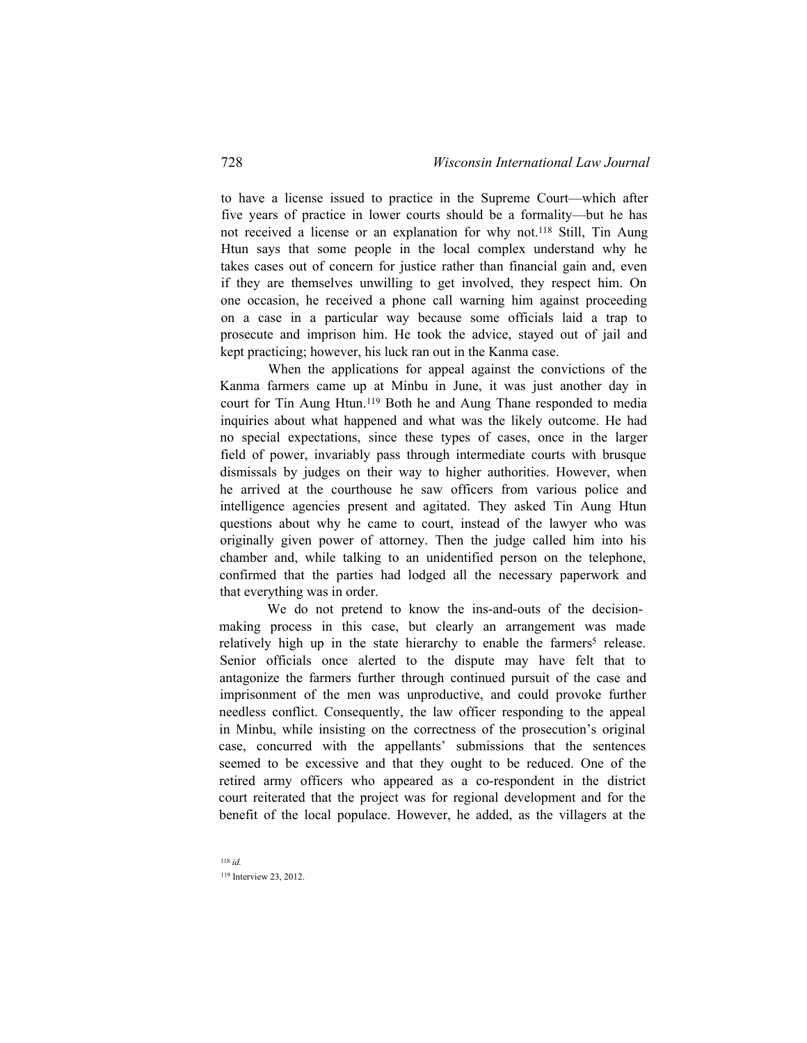to have a license issued to practice in the Supreme Court—which after five years of practice in lower courts should be a formality—but he has not received a license or an explanation for why not.118 Still, Tin Aung Htun says that some people in the local complex understand why he takes cases out of concern for justice rather than financial gain and, even if they are themselves unwilling to get involved, they respect him. On one occasion, he received a phone call warning him against proceeding on a case in a particular way because some officials laid a trap to prosecute and imprison him. He took the advice, stayed out of jail and kept practicing; however, his luck ran out in the Kanma case.

When the applications for appeal against the convictions of the Kanma farmers came up at Minbu in June, it was just another day in court for Tin Aung Htun.119 Both he and Aung Thane responded to media inquiries about what happened and what was the likely outcome. He had no special expectations, since these types of cases, once in the larger field of power, invariably pass through intermediate courts with brusque dismissals by judges on their way to higher authorities. However, when he arrived at the courthouse he saw officers from various police and intelligence agencies present and agitated. They asked Tin Aung Htun questions about why he came to court, instead of the lawyer who was originally given power of attorney. Then the judge called him into his chamber and, while talking to an unidentified person on the telephone, confirmed that the parties had lodged all the necessary paperwork and that everything was in order.

We do not pretend to know the ins-and-outs of the decisionmaking process in this case, but clearly an arrangement was made relatively high up in the state hierarchy to enable the farmers<sup>5</sup> release. Senior officials once alerted to the dispute may have felt that to antagonize the farmers further through continued pursuit of the case and imprisonment of the men was unproductive, and could provoke further needless conflict. Consequently, the law officer responding to the appeal in Minbu, while insisting on the correctness of the prosecution's original case, concurred with the appellants' submissions that the sentences seemed to be excessive and that they ought to be reduced. One of the retired army officers who appeared as a co-respondent in the district court reiterated that the project was for regional development and for the benefit of the local populace. However, he added, as the villagers at the

<sup>118</sup> *id.* 119 Interview 23, 2012.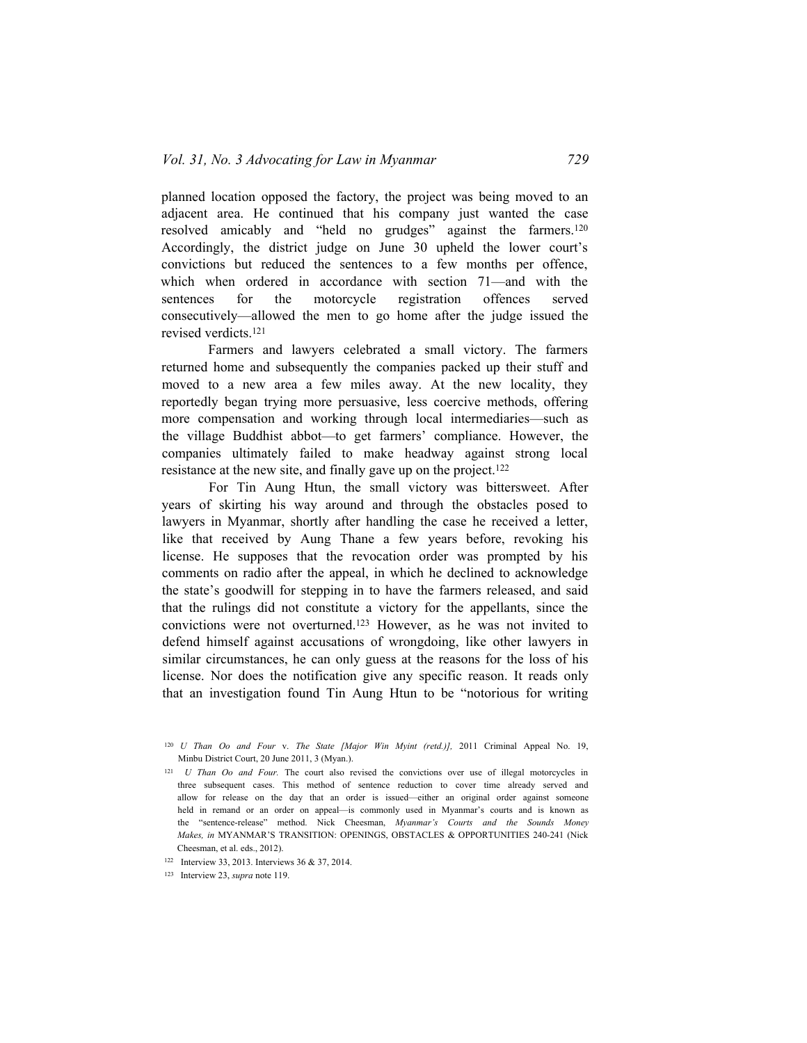planned location opposed the factory, the project was being moved to an adjacent area. He continued that his company just wanted the case resolved amicably and "held no grudges" against the farmers.<sup>120</sup> Accordingly, the district judge on June 30 upheld the lower court's convictions but reduced the sentences to a few months per offence, which when ordered in accordance with section 71—and with the sentences for the motorcycle registration offences served consecutively—allowed the men to go home after the judge issued the revised verdicts.<sup>121</sup>

Farmers and lawyers celebrated a small victory. The farmers returned home and subsequently the companies packed up their stuff and moved to a new area a few miles away. At the new locality, they reportedly began trying more persuasive, less coercive methods, offering more compensation and working through local intermediaries—such as the village Buddhist abbot—to get farmers' compliance. However, the companies ultimately failed to make headway against strong local resistance at the new site, and finally gave up on the project.<sup>122</sup>

For Tin Aung Htun, the small victory was bittersweet. After years of skirting his way around and through the obstacles posed to lawyers in Myanmar, shortly after handling the case he received a letter, like that received by Aung Thane a few years before, revoking his license. He supposes that the revocation order was prompted by his comments on radio after the appeal, in which he declined to acknowledge the state's goodwill for stepping in to have the farmers released, and said that the rulings did not constitute a victory for the appellants, since the convictions were not overturned.123 However, as he was not invited to defend himself against accusations of wrongdoing, like other lawyers in similar circumstances, he can only guess at the reasons for the loss of his license. Nor does the notification give any specific reason. It reads only that an investigation found Tin Aung Htun to be "notorious for writing

<sup>120</sup> *U Than Oo and Four* v. *The State [Major Win Myint (retd.)],* 2011 Criminal Appeal No. 19, Minbu District Court, 20 June 2011, 3 (Myan.).

<sup>121</sup> *U Than Oo and Four.* The court also revised the convictions over use of illegal motorcycles in three subsequent cases. This method of sentence reduction to cover time already served and allow for release on the day that an order is issued—either an original order against someone held in remand or an order on appeal—is commonly used in Myanmar's courts and is known as the "sentence-release" method. Nick Cheesman, *Myanmar's Courts and the Sounds Money Makes, in* MYANMAR'S TRANSITION: OPENINGS, OBSTACLES & OPPORTUNITIES 240-241 (Nick Cheesman, et al. eds., 2012).

<sup>122</sup> Interview 33, 2013. Interviews 36 & 37, 2014.

<sup>123</sup> Interview 23, *supra* note 119.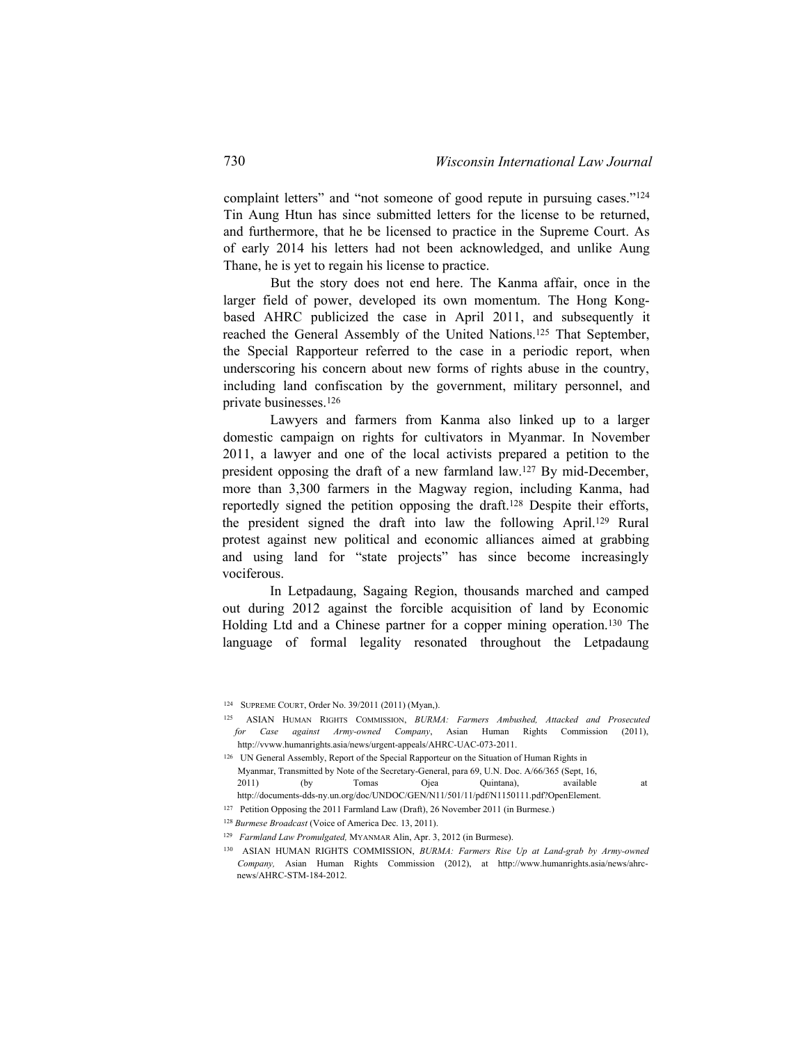complaint letters" and "not someone of good repute in pursuing cases."<sup>124</sup> Tin Aung Htun has since submitted letters for the license to be returned, and furthermore, that he be licensed to practice in the Supreme Court. As of early 2014 his letters had not been acknowledged, and unlike Aung Thane, he is yet to regain his license to practice.

But the story does not end here. The Kanma affair, once in the larger field of power, developed its own momentum. The Hong Kongbased AHRC publicized the case in April 2011, and subsequently it reached the General Assembly of the United Nations.<sup>125</sup> That September, the Special Rapporteur referred to the case in a periodic report, when underscoring his concern about new forms of rights abuse in the country, including land confiscation by the government, military personnel, and private businesses.<sup>126</sup>

Lawyers and farmers from Kanma also linked up to a larger domestic campaign on rights for cultivators in Myanmar. In November 2011, a lawyer and one of the local activists prepared a petition to the president opposing the draft of a new farmland law.<sup>127</sup> By mid-December, more than 3,300 farmers in the Magway region, including Kanma, had reportedly signed the petition opposing the draft.<sup>128</sup> Despite their efforts, the president signed the draft into law the following April.129 Rural protest against new political and economic alliances aimed at grabbing and using land for "state projects" has since become increasingly vociferous.

In Letpadaung, Sagaing Region, thousands marched and camped out during 2012 against the forcible acquisition of land by Economic Holding Ltd and a Chinese partner for a copper mining operation.<sup>130</sup> The language of formal legality resonated throughout the Letpadaung

<sup>124</sup> Supreme Court, Order No. 39/2011 (2011) (Myan,).

<sup>125</sup> ASIAN Human Rights Commission, *BURMA: Farmers Ambushed, Attacked and Prosecuted for Case against Army-owned Company*, Asian Human Rights Commission (2011), [http://vvww.humanrights.asia/news/urgent-appeals/AHRC-UAC-073-2011.](http://vvww.humanrights.asia/news/urgent-appeals/AHRC-UAC-073-2011)

<sup>126</sup> UN General Assembly, Report of the Special Rapporteur on the Situation of Human Rights in

Myanmar, Transmitted by Note of the Secretary-General, para 69, U.N. Doc. A/66/365 (Sept, 16, 2011) (by Tomas Ojea Quintana), available at

http://documents-dds-ny.un.org/doc/UNDOC/GEN/N11/501/11/pdf/N1150111.pdf?OpenElement.

<sup>127</sup> Petition Opposing the 2011 Farmland Law (Draft), 26 November 2011 (in Burmese.)

<sup>128</sup> *Burmese Broadcast* (Voice of America Dec. 13, 2011).

<sup>&</sup>lt;sup>129</sup> *Farmland Law Promulgated, MYANMAR Alin, Apr. 3, 2012 (in Burmese).* 

<sup>130</sup> ASIAN HUMAN RIGHTS COMMISSION, *BURMA: Farmers Rise Up at Land-grab by Army-owned Company,* Asian Human Rights Commission (2012), at [http://www.humanrights.asia/news/ahrc](http://www.humanrights.asia/news/ahrc-)news/AHRC-STM-184-2012.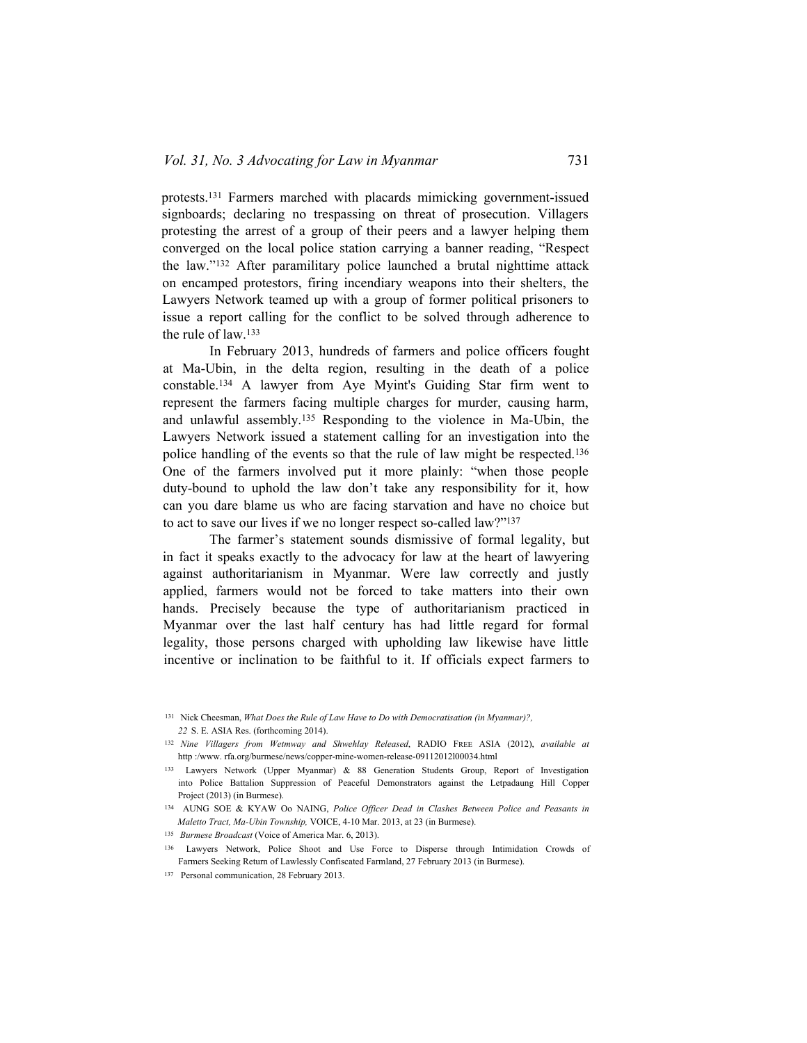protests.<sup>131</sup> Farmers marched with placards mimicking government-issued signboards; declaring no trespassing on threat of prosecution. Villagers protesting the arrest of a group of their peers and a lawyer helping them converged on the local police station carrying a banner reading, "Respect the law."132 After paramilitary police launched a brutal nighttime attack on encamped protestors, firing incendiary weapons into their shelters, the Lawyers Network teamed up with a group of former political prisoners to issue a report calling for the conflict to be solved through adherence to the rule of law.<sup>133</sup>

In February 2013, hundreds of farmers and police officers fought at Ma-Ubin, in the delta region, resulting in the death of a police constable.134 A lawyer from Aye Myint's Guiding Star firm went to represent the farmers facing multiple charges for murder, causing harm, and unlawful assembly.<sup>135</sup> Responding to the violence in Ma-Ubin, the Lawyers Network issued a statement calling for an investigation into the police handling of the events so that the rule of law might be respected.<sup>136</sup> One of the farmers involved put it more plainly: "when those people duty-bound to uphold the law don't take any responsibility for it, how can you dare blame us who are facing starvation and have no choice but to act to save our lives if we no longer respect so-called law?"<sup>137</sup>

The farmer's statement sounds dismissive of formal legality, but in fact it speaks exactly to the advocacy for law at the heart of lawyering against authoritarianism in Myanmar. Were law correctly and justly applied, farmers would not be forced to take matters into their own hands. Precisely because the type of authoritarianism practiced in Myanmar over the last half century has had little regard for formal legality, those persons charged with upholding law likewise have little incentive or inclination to be faithful to it. If officials expect farmers to

<sup>131</sup> Nick Cheesman, *What Does the Rule of Law Have to Do with Democratisation (in Myanmar)?, 22* S. E. ASIA Res. (forthcoming 2014).

<sup>132</sup> *Nine Villagers from Wetmway and Shwehlay Released*, RADIO Free ASIA (2012), *available at* http :/www. rfa.org/burmese/news/copper-mine-women-release-09112012l00034.html

<sup>133</sup> Lawyers Network (Upper Myanmar) & 88 Generation Students Group, Report of Investigation into Police Battalion Suppression of Peaceful Demonstrators against the Letpadaung Hill Copper Project (2013) (in Burmese).

<sup>134</sup> AUNG SOE & KYAW Oo NAING, *Police Officer Dead in Clashes Between Police and Peasants in Maletto Tract, Ma-Ubin Township,* VOICE, 4-10 Mar. 2013, at 23 (in Burmese).

<sup>135</sup> *Burmese Broadcast* (Voice of America Mar. 6, 2013).

<sup>136</sup> Lawyers Network, Police Shoot and Use Force to Disperse through Intimidation Crowds of Farmers Seeking Return of Lawlessly Confiscated Farmland, 27 February 2013 (in Burmese).

<sup>137</sup> Personal communication, 28 February 2013.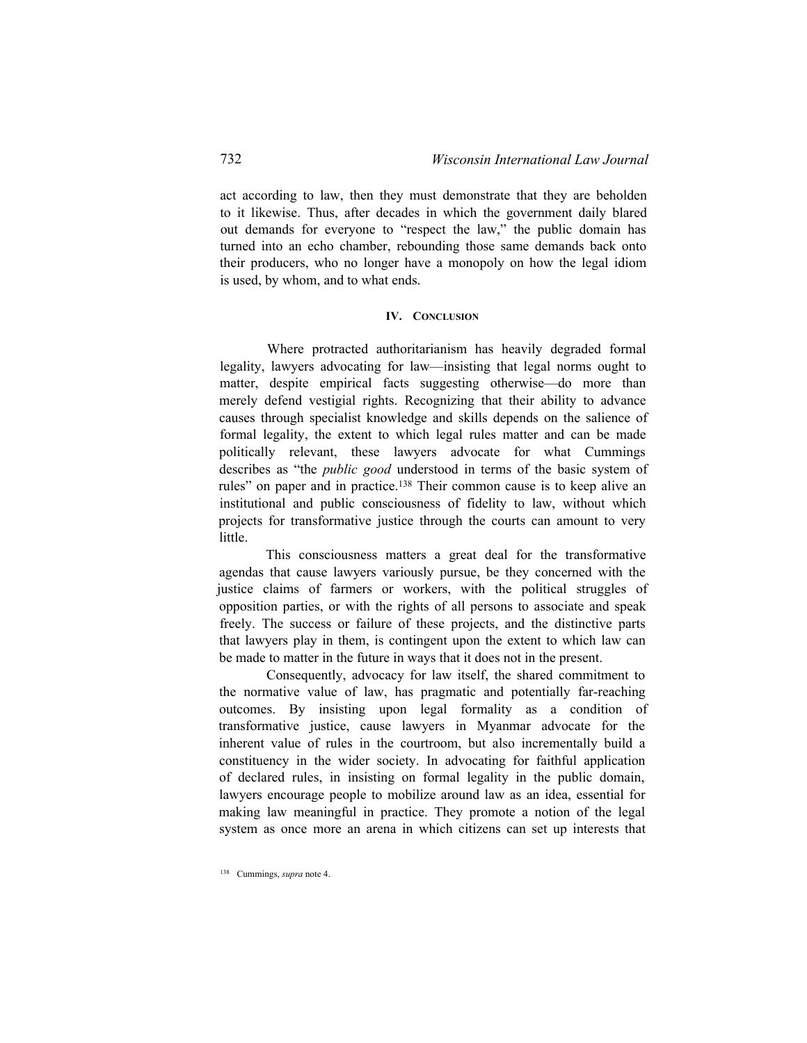act according to law, then they must demonstrate that they are beholden to it likewise. Thus, after decades in which the government daily blared out demands for everyone to "respect the law," the public domain has turned into an echo chamber, rebounding those same demands back onto their producers, who no longer have a monopoly on how the legal idiom is used, by whom, and to what ends.

#### **IV. Conclusion**

Where protracted authoritarianism has heavily degraded formal legality, lawyers advocating for law—insisting that legal norms ought to matter, despite empirical facts suggesting otherwise—do more than merely defend vestigial rights. Recognizing that their ability to advance causes through specialist knowledge and skills depends on the salience of formal legality, the extent to which legal rules matter and can be made politically relevant, these lawyers advocate for what Cummings describes as "the *public good* understood in terms of the basic system of rules" on paper and in practice.<sup>138</sup> Their common cause is to keep alive an institutional and public consciousness of fidelity to law, without which projects for transformative justice through the courts can amount to very little.

This consciousness matters a great deal for the transformative agendas that cause lawyers variously pursue, be they concerned with the justice claims of farmers or workers, with the political struggles of opposition parties, or with the rights of all persons to associate and speak freely. The success or failure of these projects, and the distinctive parts that lawyers play in them, is contingent upon the extent to which law can be made to matter in the future in ways that it does not in the present.

Consequently, advocacy for law itself, the shared commitment to the normative value of law, has pragmatic and potentially far-reaching outcomes. By insisting upon legal formality as a condition of transformative justice, cause lawyers in Myanmar advocate for the inherent value of rules in the courtroom, but also incrementally build a constituency in the wider society. In advocating for faithful application of declared rules, in insisting on formal legality in the public domain, lawyers encourage people to mobilize around law as an idea, essential for making law meaningful in practice. They promote a notion of the legal system as once more an arena in which citizens can set up interests that

<sup>138</sup> Cummings, *supra* note 4.